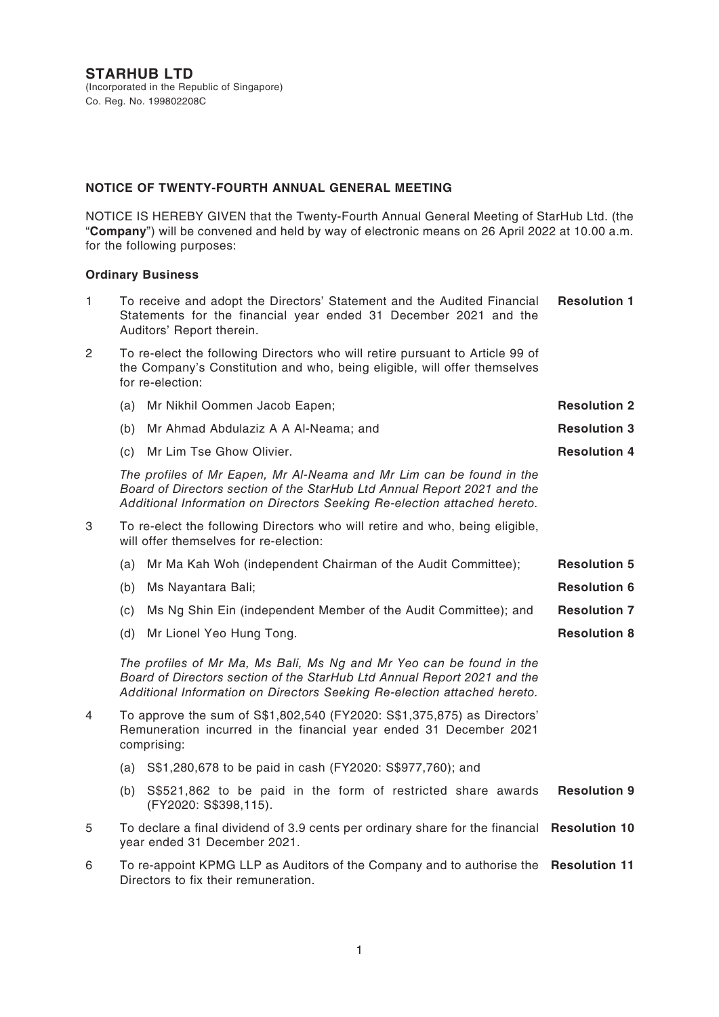#### **NOTICE OF TWENTY-FOURTH ANNUAL GENERAL MEETING**

NOTICE IS HEREBY GIVEN that the Twenty-Fourth Annual General Meeting of StarHub Ltd. (the "**Company**") will be convened and held by way of electronic means on 26 April 2022 at 10.00 a.m. for the following purposes:

#### **Ordinary Business**

| $\mathbf{1}$   |                                                                                                                                                                                                                              | <b>Resolution 1</b><br>To receive and adopt the Directors' Statement and the Audited Financial<br>Statements for the financial year ended 31 December 2021 and the<br>Auditors' Report therein.                              |                      |
|----------------|------------------------------------------------------------------------------------------------------------------------------------------------------------------------------------------------------------------------------|------------------------------------------------------------------------------------------------------------------------------------------------------------------------------------------------------------------------------|----------------------|
| $\overline{2}$ |                                                                                                                                                                                                                              | To re-elect the following Directors who will retire pursuant to Article 99 of<br>the Company's Constitution and who, being eligible, will offer themselves<br>for re-election:                                               |                      |
|                | (a)                                                                                                                                                                                                                          | Mr Nikhil Oommen Jacob Eapen;                                                                                                                                                                                                | <b>Resolution 2</b>  |
|                | (b)                                                                                                                                                                                                                          | Mr Ahmad Abdulaziz A A Al-Neama; and                                                                                                                                                                                         | <b>Resolution 3</b>  |
|                | (c)                                                                                                                                                                                                                          | Mr Lim Tse Ghow Olivier.                                                                                                                                                                                                     | <b>Resolution 4</b>  |
|                | The profiles of Mr Eapen, Mr Al-Neama and Mr Lim can be found in the<br>Board of Directors section of the StarHub Ltd Annual Report 2021 and the<br>Additional Information on Directors Seeking Re-election attached hereto. |                                                                                                                                                                                                                              |                      |
| 3              |                                                                                                                                                                                                                              | To re-elect the following Directors who will retire and who, being eligible,<br>will offer themselves for re-election:                                                                                                       |                      |
|                | (a)                                                                                                                                                                                                                          | Mr Ma Kah Woh (independent Chairman of the Audit Committee);                                                                                                                                                                 | <b>Resolution 5</b>  |
|                | (b)                                                                                                                                                                                                                          | Ms Nayantara Bali;                                                                                                                                                                                                           | <b>Resolution 6</b>  |
|                | (c)                                                                                                                                                                                                                          | Ms Ng Shin Ein (independent Member of the Audit Committee); and                                                                                                                                                              | <b>Resolution 7</b>  |
|                | (d)                                                                                                                                                                                                                          | Mr Lionel Yeo Hung Tong.                                                                                                                                                                                                     | <b>Resolution 8</b>  |
|                |                                                                                                                                                                                                                              | The profiles of Mr Ma, Ms Bali, Ms Ng and Mr Yeo can be found in the<br>Board of Directors section of the StarHub Ltd Annual Report 2021 and the<br>Additional Information on Directors Seeking Re-election attached hereto. |                      |
| 4              |                                                                                                                                                                                                                              | To approve the sum of S\$1,802,540 (FY2020: S\$1,375,875) as Directors'<br>Remuneration incurred in the financial year ended 31 December 2021<br>comprising:                                                                 |                      |
|                |                                                                                                                                                                                                                              | (a) S\$1,280,678 to be paid in cash (FY2020: S\$977,760); and                                                                                                                                                                |                      |
|                | (b)                                                                                                                                                                                                                          | S\$521,862 to be paid in the form of restricted share awards<br>(FY2020: S\$398,115).                                                                                                                                        | <b>Resolution 9</b>  |
| 5              | To declare a final dividend of 3.9 cents per ordinary share for the financial<br>year ended 31 December 2021.                                                                                                                |                                                                                                                                                                                                                              | <b>Resolution 10</b> |
| 6              | To re-appoint KPMG LLP as Auditors of the Company and to authorise the Resolution 11<br>Directors to fix their remuneration.                                                                                                 |                                                                                                                                                                                                                              |                      |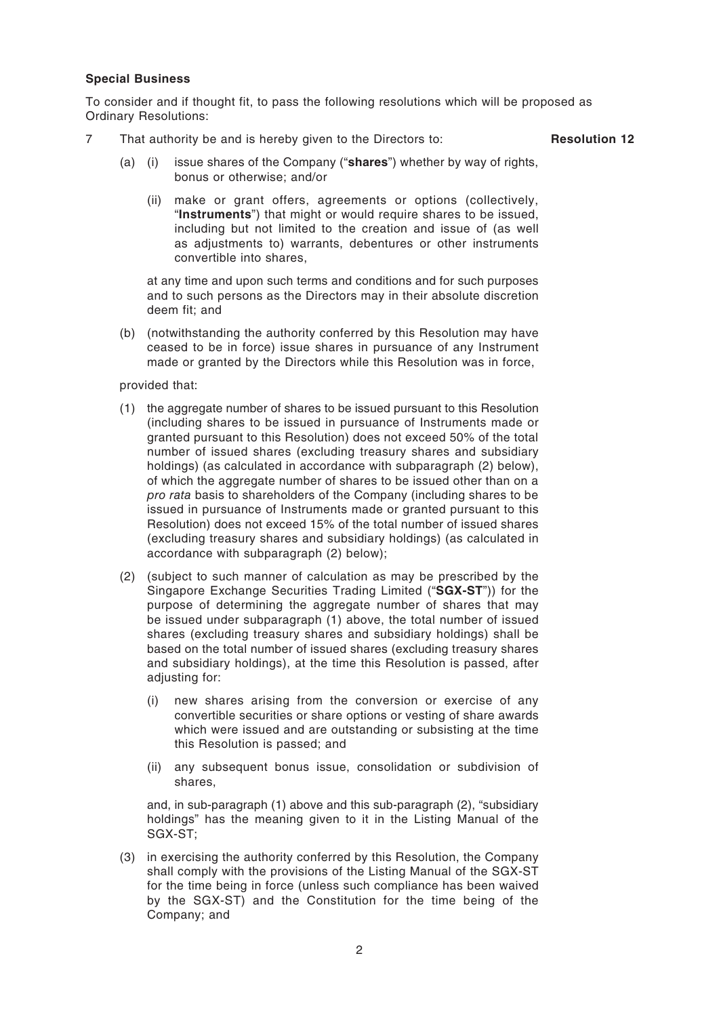#### **Special Business**

To consider and if thought fit, to pass the following resolutions which will be proposed as Ordinary Resolutions:

7 That authority be and is hereby given to the Directors to: **Resolution 12**

- (a) (i) issue shares of the Company ("**shares**") whether by way of rights, bonus or otherwise; and/or
	- (ii) make or grant offers, agreements or options (collectively, "**Instruments**") that might or would require shares to be issued, including but not limited to the creation and issue of (as well as adjustments to) warrants, debentures or other instruments convertible into shares,

at any time and upon such terms and conditions and for such purposes and to such persons as the Directors may in their absolute discretion deem fit; and

(b) (notwithstanding the authority conferred by this Resolution may have ceased to be in force) issue shares in pursuance of any Instrument made or granted by the Directors while this Resolution was in force,

provided that:

- (1) the aggregate number of shares to be issued pursuant to this Resolution (including shares to be issued in pursuance of Instruments made or granted pursuant to this Resolution) does not exceed 50% of the total number of issued shares (excluding treasury shares and subsidiary holdings) (as calculated in accordance with subparagraph (2) below), of which the aggregate number of shares to be issued other than on a *pro rata* basis to shareholders of the Company (including shares to be issued in pursuance of Instruments made or granted pursuant to this Resolution) does not exceed 15% of the total number of issued shares (excluding treasury shares and subsidiary holdings) (as calculated in accordance with subparagraph (2) below);
- (2) (subject to such manner of calculation as may be prescribed by the Singapore Exchange Securities Trading Limited ("**SGX-ST**")) for the purpose of determining the aggregate number of shares that may be issued under subparagraph (1) above, the total number of issued shares (excluding treasury shares and subsidiary holdings) shall be based on the total number of issued shares (excluding treasury shares and subsidiary holdings), at the time this Resolution is passed, after adjusting for:
	- (i) new shares arising from the conversion or exercise of any convertible securities or share options or vesting of share awards which were issued and are outstanding or subsisting at the time this Resolution is passed; and
	- (ii) any subsequent bonus issue, consolidation or subdivision of shares,

and, in sub-paragraph (1) above and this sub-paragraph (2), "subsidiary holdings" has the meaning given to it in the Listing Manual of the SGX-ST;

(3) in exercising the authority conferred by this Resolution, the Company shall comply with the provisions of the Listing Manual of the SGX-ST for the time being in force (unless such compliance has been waived by the SGX-ST) and the Constitution for the time being of the Company; and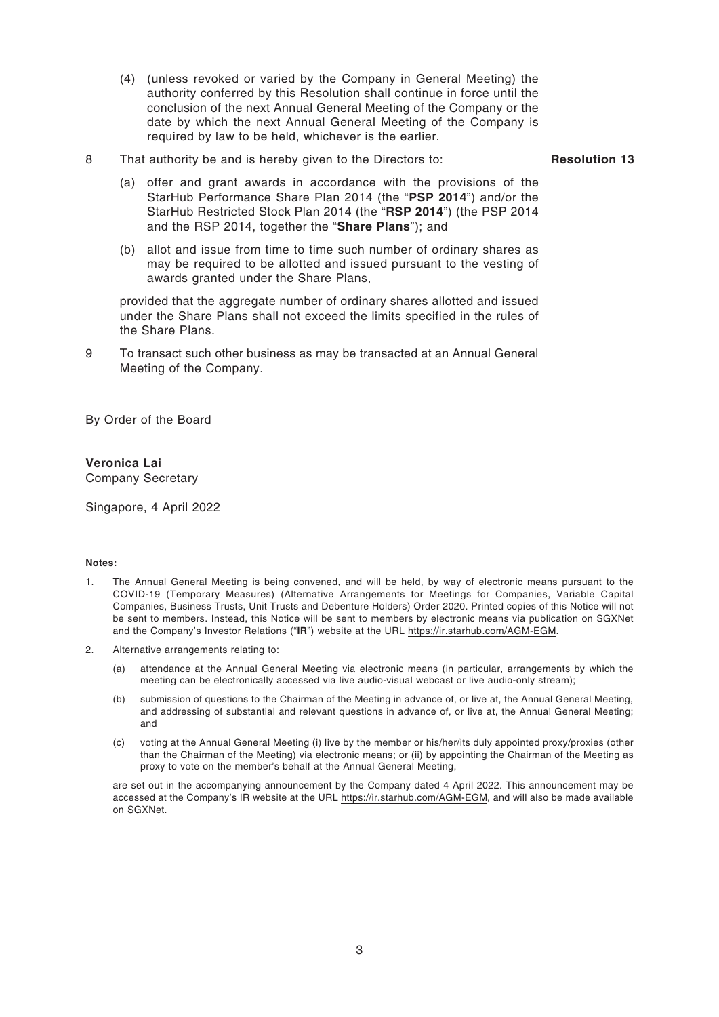- (4) (unless revoked or varied by the Company in General Meeting) the authority conferred by this Resolution shall continue in force until the conclusion of the next Annual General Meeting of the Company or the date by which the next Annual General Meeting of the Company is required by law to be held, whichever is the earlier.
- 8 That authority be and is hereby given to the Directors to: **Resolution 13**

- (a) offer and grant awards in accordance with the provisions of the StarHub Performance Share Plan 2014 (the "**PSP 2014**") and/or the StarHub Restricted Stock Plan 2014 (the "**RSP 2014**") (the PSP 2014 and the RSP 2014, together the "**Share Plans**"); and
- (b) allot and issue from time to time such number of ordinary shares as may be required to be allotted and issued pursuant to the vesting of awards granted under the Share Plans,

provided that the aggregate number of ordinary shares allotted and issued under the Share Plans shall not exceed the limits specified in the rules of the Share Plans.

9 To transact such other business as may be transacted at an Annual General Meeting of the Company.

By Order of the Board

#### **Veronica Lai**

Company Secretary

Singapore, 4 April 2022

#### **Notes:**

- 1. The Annual General Meeting is being convened, and will be held, by way of electronic means pursuant to the COVID-19 (Temporary Measures) (Alternative Arrangements for Meetings for Companies, Variable Capital Companies, Business Trusts, Unit Trusts and Debenture Holders) Order 2020. Printed copies of this Notice will not be sent to members. Instead, this Notice will be sent to members by electronic means via publication on SGXNet and the Company's Investor Relations ("**IR**") website at the URL https://ir.starhub.com/AGM-EGM.
- 2. Alternative arrangements relating to:
	- (a) attendance at the Annual General Meeting via electronic means (in particular, arrangements by which the meeting can be electronically accessed via live audio-visual webcast or live audio-only stream);
	- (b) submission of questions to the Chairman of the Meeting in advance of, or live at, the Annual General Meeting, and addressing of substantial and relevant questions in advance of, or live at, the Annual General Meeting; and
	- (c) voting at the Annual General Meeting (i) live by the member or his/her/its duly appointed proxy/proxies (other than the Chairman of the Meeting) via electronic means; or (ii) by appointing the Chairman of the Meeting as proxy to vote on the member's behalf at the Annual General Meeting,

are set out in the accompanying announcement by the Company dated 4 April 2022. This announcement may be accessed at the Company's IR website at the URL https://ir.starhub.com/AGM-EGM, and will also be made available on SGXNet.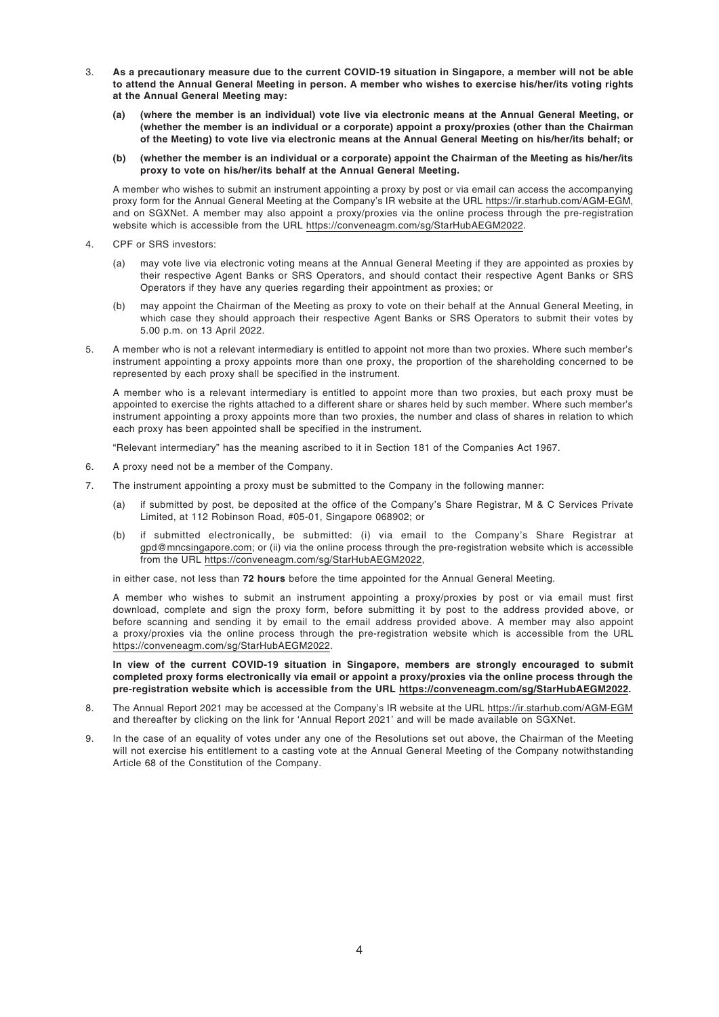- 3. **As a precautionary measure due to the current COVID-19 situation in Singapore, a member will not be able to attend the Annual General Meeting in person. A member who wishes to exercise his/her/its voting rights at the Annual General Meeting may:**
	- **(a) (where the member is an individual) vote live via electronic means at the Annual General Meeting, or (whether the member is an individual or a corporate) appoint a proxy/proxies (other than the Chairman of the Meeting) to vote live via electronic means at the Annual General Meeting on his/her/its behalf; or**
	- **(b) (whether the member is an individual or a corporate) appoint the Chairman of the Meeting as his/her/its proxy to vote on his/her/its behalf at the Annual General Meeting.**

A member who wishes to submit an instrument appointing a proxy by post or via email can access the accompanying proxy form for the Annual General Meeting at the Company's IR website at the URL https://ir.starhub.com/AGM-EGM, and on SGXNet. A member may also appoint a proxy/proxies via the online process through the pre-registration website which is accessible from the URL https://conveneagm.com/sg/StarHubAEGM2022.

- 4. CPF or SRS investors:
	- (a) may vote live via electronic voting means at the Annual General Meeting if they are appointed as proxies by their respective Agent Banks or SRS Operators, and should contact their respective Agent Banks or SRS Operators if they have any queries regarding their appointment as proxies; or
	- (b) may appoint the Chairman of the Meeting as proxy to vote on their behalf at the Annual General Meeting, in which case they should approach their respective Agent Banks or SRS Operators to submit their votes by 5.00 p.m. on 13 April 2022.
- 5. A member who is not a relevant intermediary is entitled to appoint not more than two proxies. Where such member's instrument appointing a proxy appoints more than one proxy, the proportion of the shareholding concerned to be represented by each proxy shall be specified in the instrument.

A member who is a relevant intermediary is entitled to appoint more than two proxies, but each proxy must be appointed to exercise the rights attached to a different share or shares held by such member. Where such member's instrument appointing a proxy appoints more than two proxies, the number and class of shares in relation to which each proxy has been appointed shall be specified in the instrument.

"Relevant intermediary" has the meaning ascribed to it in Section 181 of the Companies Act 1967.

- 6. A proxy need not be a member of the Company.
- 7. The instrument appointing a proxy must be submitted to the Company in the following manner:
	- (a) if submitted by post, be deposited at the office of the Company's Share Registrar, M & C Services Private Limited, at 112 Robinson Road, #05-01, Singapore 068902; or
	- (b) if submitted electronically, be submitted: (i) via email to the Company's Share Registrar at gpd@mncsingapore.com; or (ii) via the online process through the pre-registration website which is accessible from the URL https://conveneagm.com/sg/StarHubAEGM2022,

in either case, not less than **72 hours** before the time appointed for the Annual General Meeting.

A member who wishes to submit an instrument appointing a proxy/proxies by post or via email must first download, complete and sign the proxy form, before submitting it by post to the address provided above, or before scanning and sending it by email to the email address provided above. A member may also appoint a proxy/proxies via the online process through the pre-registration website which is accessible from the URL https://conveneagm.com/sg/StarHubAEGM2022.

**In view of the current COVID-19 situation in Singapore, members are strongly encouraged to submit completed proxy forms electronically via email or appoint a proxy/proxies via the online process through the pre-registration website which is accessible from the URL https://conveneagm.com/sg/StarHubAEGM2022.**

- 8. The Annual Report 2021 may be accessed at the Company's IR website at the URL https://ir.starhub.com/AGM-EGM and thereafter by clicking on the link for 'Annual Report 2021' and will be made available on SGXNet.
- 9. In the case of an equality of votes under any one of the Resolutions set out above, the Chairman of the Meeting will not exercise his entitlement to a casting vote at the Annual General Meeting of the Company notwithstanding Article 68 of the Constitution of the Company.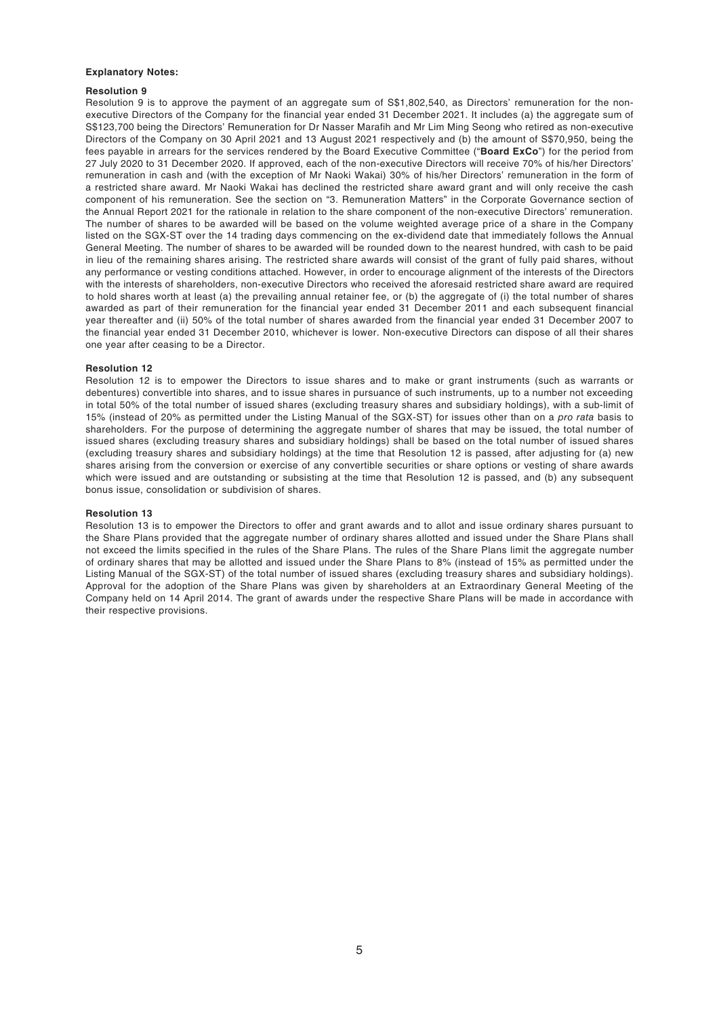#### **Explanatory Notes:**

#### **Resolution 9**

Resolution 9 is to approve the payment of an aggregate sum of S\$1,802,540, as Directors' remuneration for the nonexecutive Directors of the Company for the financial year ended 31 December 2021. It includes (a) the aggregate sum of S\$123,700 being the Directors' Remuneration for Dr Nasser Marafih and Mr Lim Ming Seong who retired as non-executive Directors of the Company on 30 April 2021 and 13 August 2021 respectively and (b) the amount of S\$70,950, being the fees payable in arrears for the services rendered by the Board Executive Committee ("**Board ExCo**") for the period from 27 July 2020 to 31 December 2020. If approved, each of the non-executive Directors will receive 70% of his/her Directors' remuneration in cash and (with the exception of Mr Naoki Wakai) 30% of his/her Directors' remuneration in the form of a restricted share award. Mr Naoki Wakai has declined the restricted share award grant and will only receive the cash component of his remuneration. See the section on "3. Remuneration Matters" in the Corporate Governance section of the Annual Report 2021 for the rationale in relation to the share component of the non-executive Directors' remuneration. The number of shares to be awarded will be based on the volume weighted average price of a share in the Company listed on the SGX-ST over the 14 trading days commencing on the ex-dividend date that immediately follows the Annual General Meeting. The number of shares to be awarded will be rounded down to the nearest hundred, with cash to be paid in lieu of the remaining shares arising. The restricted share awards will consist of the grant of fully paid shares, without any performance or vesting conditions attached. However, in order to encourage alignment of the interests of the Directors with the interests of shareholders, non-executive Directors who received the aforesaid restricted share award are required to hold shares worth at least (a) the prevailing annual retainer fee, or (b) the aggregate of (i) the total number of shares awarded as part of their remuneration for the financial year ended 31 December 2011 and each subsequent financial year thereafter and (ii) 50% of the total number of shares awarded from the financial year ended 31 December 2007 to the financial year ended 31 December 2010, whichever is lower. Non-executive Directors can dispose of all their shares one year after ceasing to be a Director.

#### **Resolution 12**

Resolution 12 is to empower the Directors to issue shares and to make or grant instruments (such as warrants or debentures) convertible into shares, and to issue shares in pursuance of such instruments, up to a number not exceeding in total 50% of the total number of issued shares (excluding treasury shares and subsidiary holdings), with a sub-limit of 15% (instead of 20% as permitted under the Listing Manual of the SGX-ST) for issues other than on a *pro rata* basis to shareholders. For the purpose of determining the aggregate number of shares that may be issued, the total number of issued shares (excluding treasury shares and subsidiary holdings) shall be based on the total number of issued shares (excluding treasury shares and subsidiary holdings) at the time that Resolution 12 is passed, after adjusting for (a) new shares arising from the conversion or exercise of any convertible securities or share options or vesting of share awards which were issued and are outstanding or subsisting at the time that Resolution 12 is passed, and (b) any subsequent bonus issue, consolidation or subdivision of shares.

#### **Resolution 13**

Resolution 13 is to empower the Directors to offer and grant awards and to allot and issue ordinary shares pursuant to the Share Plans provided that the aggregate number of ordinary shares allotted and issued under the Share Plans shall not exceed the limits specified in the rules of the Share Plans. The rules of the Share Plans limit the aggregate number of ordinary shares that may be allotted and issued under the Share Plans to 8% (instead of 15% as permitted under the Listing Manual of the SGX-ST) of the total number of issued shares (excluding treasury shares and subsidiary holdings). Approval for the adoption of the Share Plans was given by shareholders at an Extraordinary General Meeting of the Company held on 14 April 2014. The grant of awards under the respective Share Plans will be made in accordance with their respective provisions.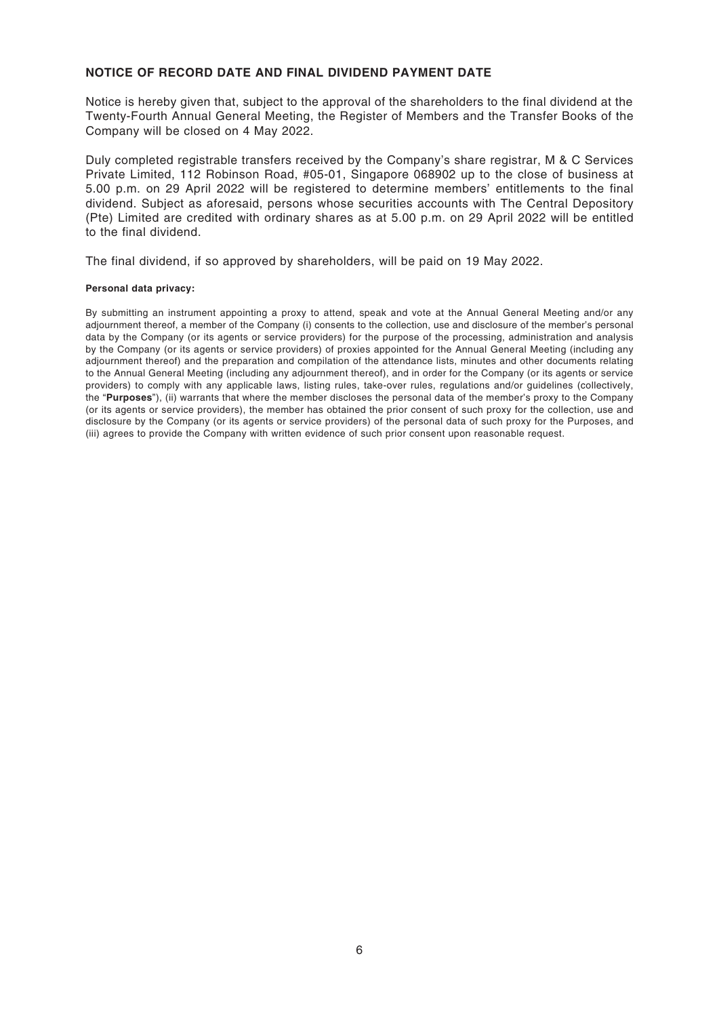#### **NOTICE OF RECORD DATE AND FINAL DIVIDEND PAYMENT DATE**

Notice is hereby given that, subject to the approval of the shareholders to the final dividend at the Twenty-Fourth Annual General Meeting, the Register of Members and the Transfer Books of the Company will be closed on 4 May 2022.

Duly completed registrable transfers received by the Company's share registrar, M & C Services Private Limited, 112 Robinson Road, #05-01, Singapore 068902 up to the close of business at 5.00 p.m. on 29 April 2022 will be registered to determine members' entitlements to the final dividend. Subject as aforesaid, persons whose securities accounts with The Central Depository (Pte) Limited are credited with ordinary shares as at 5.00 p.m. on 29 April 2022 will be entitled to the final dividend.

The final dividend, if so approved by shareholders, will be paid on 19 May 2022.

#### **Personal data privacy:**

By submitting an instrument appointing a proxy to attend, speak and vote at the Annual General Meeting and/or any adjournment thereof, a member of the Company (i) consents to the collection, use and disclosure of the member's personal data by the Company (or its agents or service providers) for the purpose of the processing, administration and analysis by the Company (or its agents or service providers) of proxies appointed for the Annual General Meeting (including any adjournment thereof) and the preparation and compilation of the attendance lists, minutes and other documents relating to the Annual General Meeting (including any adjournment thereof), and in order for the Company (or its agents or service providers) to comply with any applicable laws, listing rules, take-over rules, regulations and/or guidelines (collectively, the "**Purposes**"), (ii) warrants that where the member discloses the personal data of the member's proxy to the Company (or its agents or service providers), the member has obtained the prior consent of such proxy for the collection, use and disclosure by the Company (or its agents or service providers) of the personal data of such proxy for the Purposes, and (iii) agrees to provide the Company with written evidence of such prior consent upon reasonable request.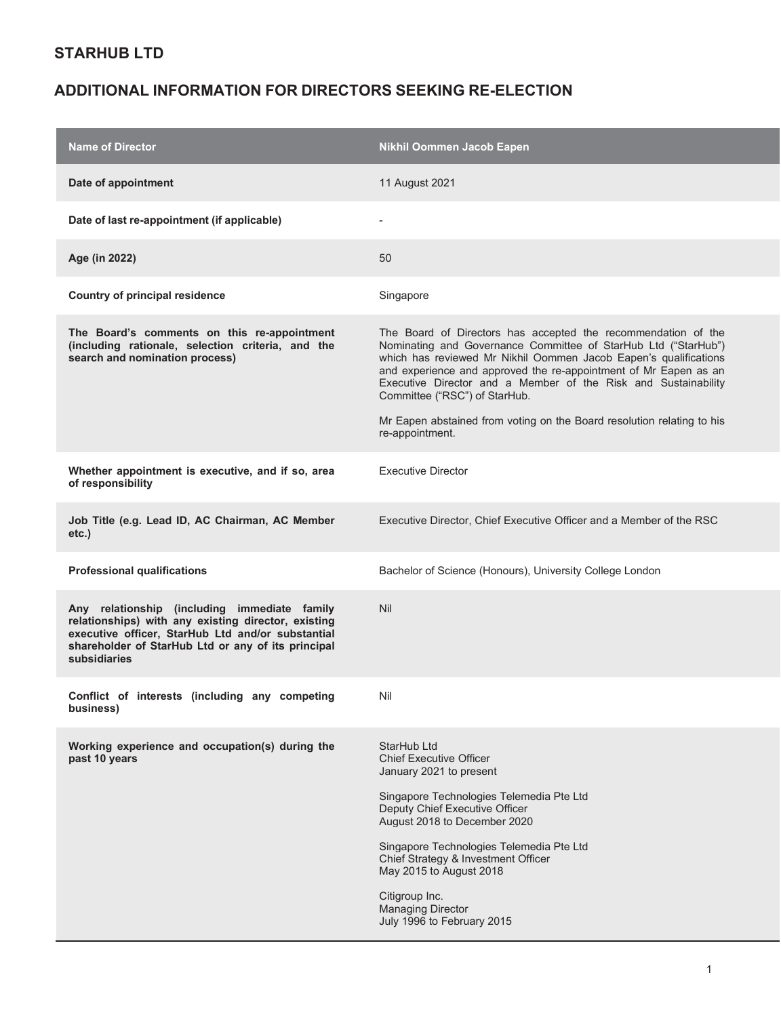| <b>Name of Director</b>                                                                                                                                                                                                        | <b>Nikhil Oommen Jacob Eapen</b>                                                                                                                                                                                                                                                                                                                                                                                                                     |
|--------------------------------------------------------------------------------------------------------------------------------------------------------------------------------------------------------------------------------|------------------------------------------------------------------------------------------------------------------------------------------------------------------------------------------------------------------------------------------------------------------------------------------------------------------------------------------------------------------------------------------------------------------------------------------------------|
| Date of appointment                                                                                                                                                                                                            | 11 August 2021                                                                                                                                                                                                                                                                                                                                                                                                                                       |
| Date of last re-appointment (if applicable)                                                                                                                                                                                    |                                                                                                                                                                                                                                                                                                                                                                                                                                                      |
| Age (in 2022)                                                                                                                                                                                                                  | 50                                                                                                                                                                                                                                                                                                                                                                                                                                                   |
| Country of principal residence                                                                                                                                                                                                 | Singapore                                                                                                                                                                                                                                                                                                                                                                                                                                            |
| The Board's comments on this re-appointment<br>(including rationale, selection criteria, and the<br>search and nomination process)                                                                                             | The Board of Directors has accepted the recommendation of the<br>Nominating and Governance Committee of StarHub Ltd ("StarHub")<br>which has reviewed Mr Nikhil Oommen Jacob Eapen's qualifications<br>and experience and approved the re-appointment of Mr Eapen as an<br>Executive Director and a Member of the Risk and Sustainability<br>Committee ("RSC") of StarHub.<br>Mr Eapen abstained from voting on the Board resolution relating to his |
|                                                                                                                                                                                                                                | re-appointment.                                                                                                                                                                                                                                                                                                                                                                                                                                      |
| Whether appointment is executive, and if so, area<br>of responsibility                                                                                                                                                         | <b>Executive Director</b>                                                                                                                                                                                                                                                                                                                                                                                                                            |
| Job Title (e.g. Lead ID, AC Chairman, AC Member<br>etc.)                                                                                                                                                                       | Executive Director, Chief Executive Officer and a Member of the RSC                                                                                                                                                                                                                                                                                                                                                                                  |
| <b>Professional qualifications</b>                                                                                                                                                                                             | Bachelor of Science (Honours), University College London                                                                                                                                                                                                                                                                                                                                                                                             |
| Any relationship (including immediate family<br>relationships) with any existing director, existing<br>executive officer, StarHub Ltd and/or substantial<br>shareholder of StarHub Ltd or any of its principal<br>subsidiaries | <b>Nil</b>                                                                                                                                                                                                                                                                                                                                                                                                                                           |
| Conflict of interests (including any competing<br>business)                                                                                                                                                                    | Nil                                                                                                                                                                                                                                                                                                                                                                                                                                                  |
| Working experience and occupation(s) during the<br>past 10 years                                                                                                                                                               | StarHub Ltd<br><b>Chief Executive Officer</b><br>January 2021 to present                                                                                                                                                                                                                                                                                                                                                                             |
|                                                                                                                                                                                                                                | Singapore Technologies Telemedia Pte Ltd<br>Deputy Chief Executive Officer<br>August 2018 to December 2020                                                                                                                                                                                                                                                                                                                                           |
|                                                                                                                                                                                                                                | Singapore Technologies Telemedia Pte Ltd<br>Chief Strategy & Investment Officer<br>May 2015 to August 2018                                                                                                                                                                                                                                                                                                                                           |
|                                                                                                                                                                                                                                | Citigroup Inc.<br><b>Managing Director</b><br>July 1996 to February 2015                                                                                                                                                                                                                                                                                                                                                                             |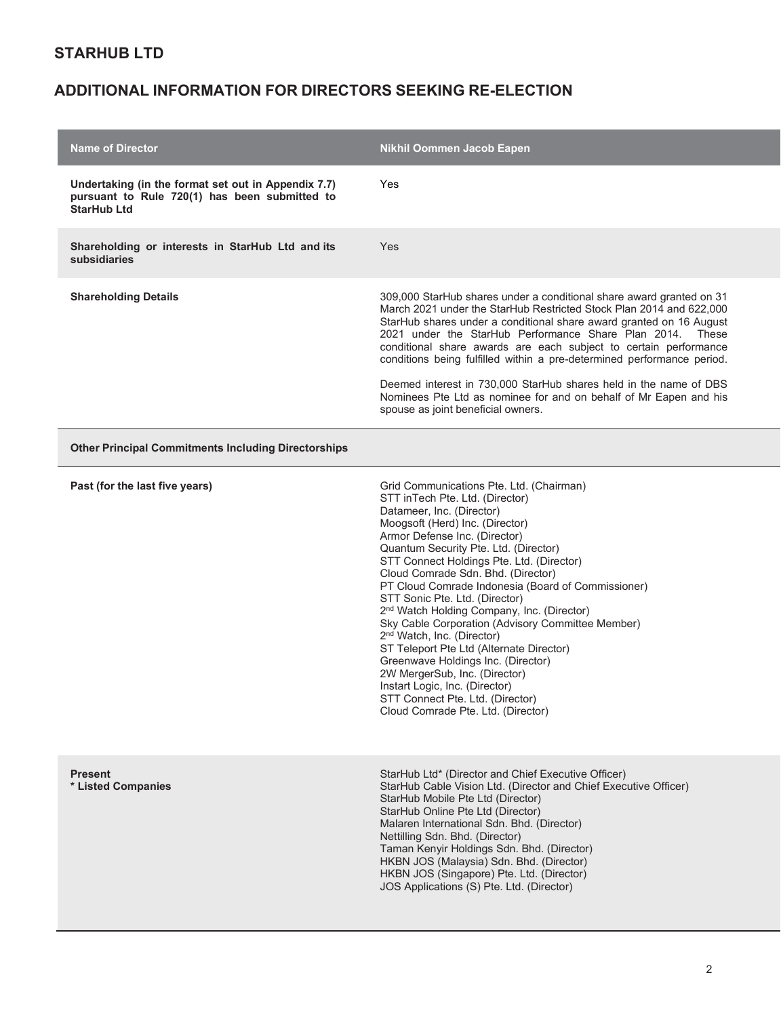| <b>Name of Director</b>                                                                                                    | Nikhil Oommen Jacob Eapen                                                                                                                                                                                                                                                                                                                                                                                                                                                                                                                                                                                                                                                                                                                                                                |
|----------------------------------------------------------------------------------------------------------------------------|------------------------------------------------------------------------------------------------------------------------------------------------------------------------------------------------------------------------------------------------------------------------------------------------------------------------------------------------------------------------------------------------------------------------------------------------------------------------------------------------------------------------------------------------------------------------------------------------------------------------------------------------------------------------------------------------------------------------------------------------------------------------------------------|
| Undertaking (in the format set out in Appendix 7.7)<br>pursuant to Rule 720(1) has been submitted to<br><b>StarHub Ltd</b> | Yes                                                                                                                                                                                                                                                                                                                                                                                                                                                                                                                                                                                                                                                                                                                                                                                      |
| Shareholding or interests in StarHub Ltd and its<br>subsidiaries                                                           | Yes                                                                                                                                                                                                                                                                                                                                                                                                                                                                                                                                                                                                                                                                                                                                                                                      |
| <b>Shareholding Details</b>                                                                                                | 309,000 StarHub shares under a conditional share award granted on 31<br>March 2021 under the StarHub Restricted Stock Plan 2014 and 622,000<br>StarHub shares under a conditional share award granted on 16 August<br>2021 under the StarHub Performance Share Plan 2014.<br>These<br>conditional share awards are each subject to certain performance<br>conditions being fulfilled within a pre-determined performance period.<br>Deemed interest in 730,000 StarHub shares held in the name of DBS<br>Nominees Pte Ltd as nominee for and on behalf of Mr Eapen and his<br>spouse as joint beneficial owners.                                                                                                                                                                         |
| <b>Other Principal Commitments Including Directorships</b>                                                                 |                                                                                                                                                                                                                                                                                                                                                                                                                                                                                                                                                                                                                                                                                                                                                                                          |
| Past (for the last five years)                                                                                             | Grid Communications Pte. Ltd. (Chairman)<br>STT inTech Pte. Ltd. (Director)<br>Datameer, Inc. (Director)<br>Moogsoft (Herd) Inc. (Director)<br>Armor Defense Inc. (Director)<br>Quantum Security Pte. Ltd. (Director)<br>STT Connect Holdings Pte. Ltd. (Director)<br>Cloud Comrade Sdn. Bhd. (Director)<br>PT Cloud Comrade Indonesia (Board of Commissioner)<br>STT Sonic Pte. Ltd. (Director)<br>2 <sup>nd</sup> Watch Holding Company, Inc. (Director)<br>Sky Cable Corporation (Advisory Committee Member)<br>2 <sup>nd</sup> Watch, Inc. (Director)<br>ST Teleport Pte Ltd (Alternate Director)<br>Greenwave Holdings Inc. (Director)<br>2W MergerSub, Inc. (Director)<br>Instart Logic, Inc. (Director)<br>STT Connect Pte. Ltd. (Director)<br>Cloud Comrade Pte. Ltd. (Director) |
| <b>Present</b><br>* Listed Companies                                                                                       | StarHub Ltd* (Director and Chief Executive Officer)<br>StarHub Cable Vision Ltd. (Director and Chief Executive Officer)<br>StarHub Mobile Pte Ltd (Director)<br>StarHub Online Pte Ltd (Director)<br>Malaren International Sdn. Bhd. (Director)<br>Nettilling Sdn. Bhd. (Director)<br>Taman Kenyir Holdings Sdn. Bhd. (Director)<br>HKBN JOS (Malaysia) Sdn. Bhd. (Director)<br>HKBN JOS (Singapore) Pte. Ltd. (Director)<br>JOS Applications (S) Pte. Ltd. (Director)                                                                                                                                                                                                                                                                                                                   |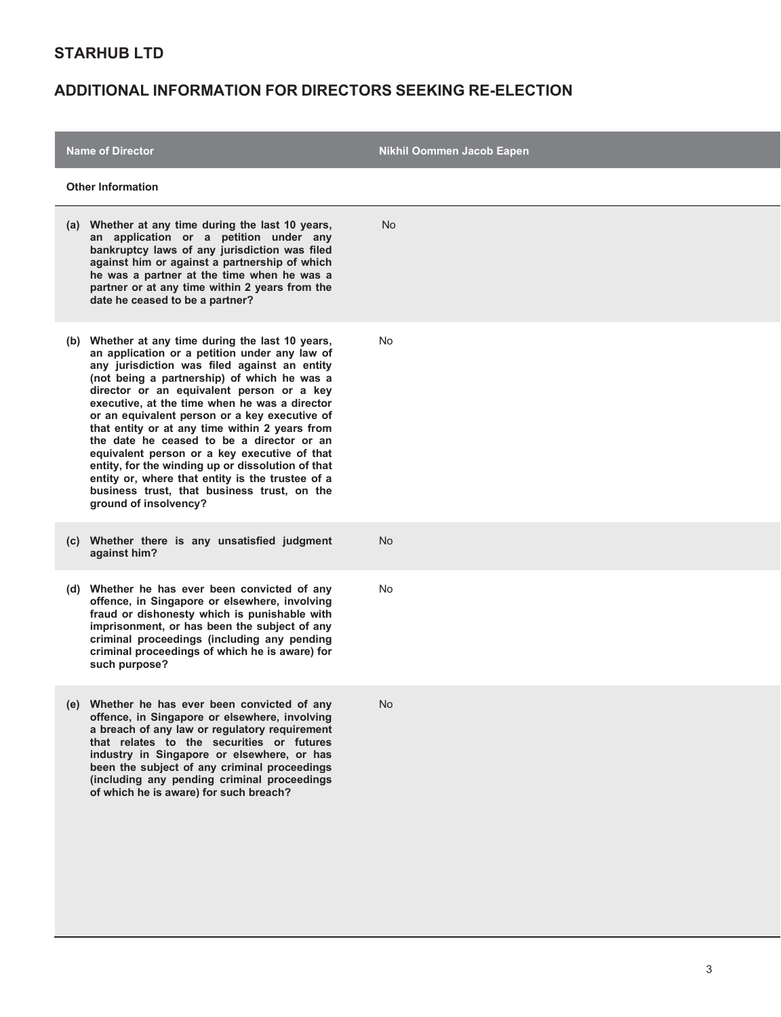| <b>Name of Director</b>                                                                                                                                                                                                                                                                                                                                                                                                                                                                                                                                                                                                                                                          | Nikhil Oommen Jacob Eapen |
|----------------------------------------------------------------------------------------------------------------------------------------------------------------------------------------------------------------------------------------------------------------------------------------------------------------------------------------------------------------------------------------------------------------------------------------------------------------------------------------------------------------------------------------------------------------------------------------------------------------------------------------------------------------------------------|---------------------------|
| <b>Other Information</b>                                                                                                                                                                                                                                                                                                                                                                                                                                                                                                                                                                                                                                                         |                           |
| (a) Whether at any time during the last 10 years,<br>an application or a petition under any<br>bankruptcy laws of any jurisdiction was filed<br>against him or against a partnership of which<br>he was a partner at the time when he was a<br>partner or at any time within 2 years from the<br>date he ceased to be a partner?                                                                                                                                                                                                                                                                                                                                                 | <b>No</b>                 |
| (b) Whether at any time during the last 10 years,<br>an application or a petition under any law of<br>any jurisdiction was filed against an entity<br>(not being a partnership) of which he was a<br>director or an equivalent person or a key<br>executive, at the time when he was a director<br>or an equivalent person or a key executive of<br>that entity or at any time within 2 years from<br>the date he ceased to be a director or an<br>equivalent person or a key executive of that<br>entity, for the winding up or dissolution of that<br>entity or, where that entity is the trustee of a<br>business trust, that business trust, on the<br>ground of insolvency? | No                        |
| (c) Whether there is any unsatisfied judgment<br>against him?                                                                                                                                                                                                                                                                                                                                                                                                                                                                                                                                                                                                                    | <b>No</b>                 |
| (d) Whether he has ever been convicted of any<br>offence, in Singapore or elsewhere, involving<br>fraud or dishonesty which is punishable with<br>imprisonment, or has been the subject of any<br>criminal proceedings (including any pending<br>criminal proceedings of which he is aware) for<br>such purpose?                                                                                                                                                                                                                                                                                                                                                                 | <b>No</b>                 |
| (e) Whether he has ever been convicted of any<br>offence, in Singapore or elsewhere, involving<br>a breach of any law or regulatory requirement<br>that relates to the securities or futures<br>industry in Singapore or elsewhere, or has<br>been the subject of any criminal proceedings<br>(including any pending criminal proceedings<br>of which he is aware) for such breach?                                                                                                                                                                                                                                                                                              | No                        |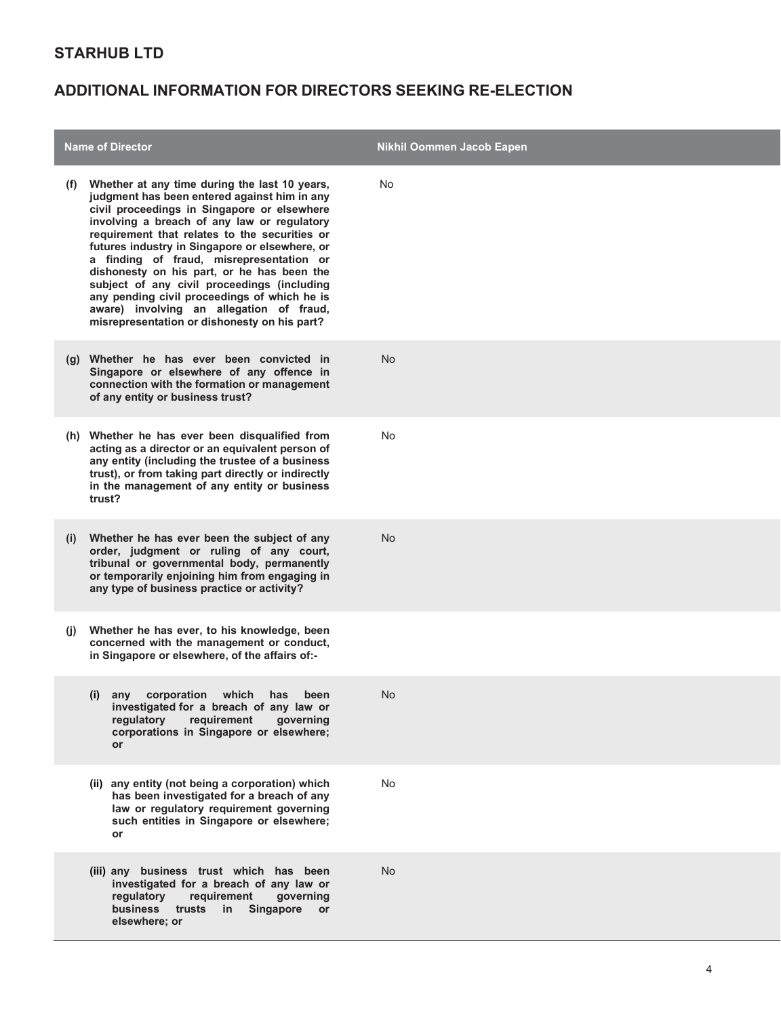| <b>Name of Director</b> |                                                                                                                                                                                                                                                                                                                                                                                                                                                                                                                                                                                     | Nikhil Oommen Jacob Eapen |
|-------------------------|-------------------------------------------------------------------------------------------------------------------------------------------------------------------------------------------------------------------------------------------------------------------------------------------------------------------------------------------------------------------------------------------------------------------------------------------------------------------------------------------------------------------------------------------------------------------------------------|---------------------------|
| (t)                     | Whether at any time during the last 10 years,<br>judgment has been entered against him in any<br>civil proceedings in Singapore or elsewhere<br>involving a breach of any law or regulatory<br>requirement that relates to the securities or<br>futures industry in Singapore or elsewhere, or<br>a finding of fraud, misrepresentation or<br>dishonesty on his part, or he has been the<br>subject of any civil proceedings (including<br>any pending civil proceedings of which he is<br>aware) involving an allegation of fraud,<br>misrepresentation or dishonesty on his part? | No                        |
|                         | (g) Whether he has ever been convicted in<br>Singapore or elsewhere of any offence in<br>connection with the formation or management<br>of any entity or business trust?                                                                                                                                                                                                                                                                                                                                                                                                            | <b>No</b>                 |
|                         | (h) Whether he has ever been disqualified from<br>acting as a director or an equivalent person of<br>any entity (including the trustee of a business<br>trust), or from taking part directly or indirectly<br>in the management of any entity or business<br>trust?                                                                                                                                                                                                                                                                                                                 | No                        |
| (i)                     | Whether he has ever been the subject of any<br>order, judgment or ruling of any court,<br>tribunal or governmental body, permanently<br>or temporarily enjoining him from engaging in<br>any type of business practice or activity?                                                                                                                                                                                                                                                                                                                                                 | <b>No</b>                 |
| (i)                     | Whether he has ever, to his knowledge, been<br>concerned with the management or conduct,<br>in Singapore or elsewhere, of the affairs of:-                                                                                                                                                                                                                                                                                                                                                                                                                                          |                           |
|                         | corporation<br>which<br>has<br>been<br>(i)<br>any<br>investigated for a breach of any law or<br>requirement<br>regulatory<br>governing<br>corporations in Singapore or elsewhere;<br><b>or</b>                                                                                                                                                                                                                                                                                                                                                                                      | No                        |
|                         | (ii) any entity (not being a corporation) which<br>has been investigated for a breach of any<br>law or regulatory requirement governing<br>such entities in Singapore or elsewhere;<br>or                                                                                                                                                                                                                                                                                                                                                                                           | No                        |
|                         | (iii) any business trust which has been<br>investigated for a breach of any law or<br>regulatory<br>requirement<br>governing<br>business trusts<br>in<br><b>Singapore</b><br>or<br>elsewhere; or                                                                                                                                                                                                                                                                                                                                                                                    | <b>No</b>                 |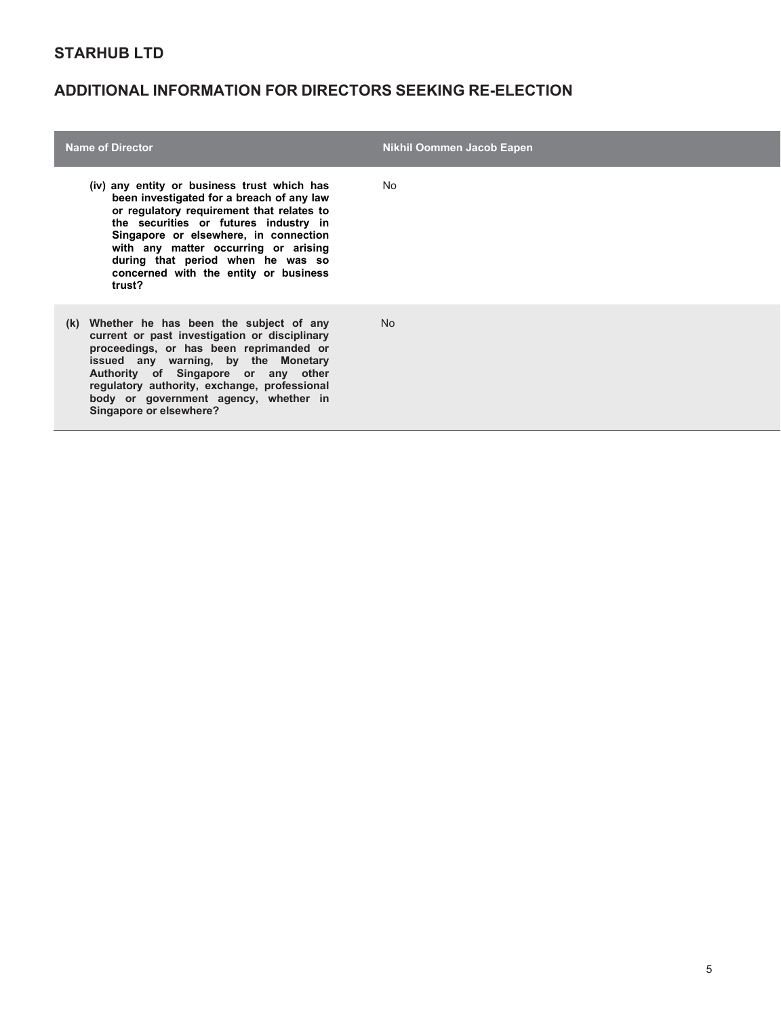| <b>Name of Director</b>                                                                                                                                                                                                                                                                                                                                 | <b>Nikhil Oommen Jacob Eapen</b> |
|---------------------------------------------------------------------------------------------------------------------------------------------------------------------------------------------------------------------------------------------------------------------------------------------------------------------------------------------------------|----------------------------------|
| (iv) any entity or business trust which has<br>been investigated for a breach of any law<br>or regulatory requirement that relates to<br>the securities or futures industry in<br>Singapore or elsewhere, in connection<br>with any matter occurring or arising<br>during that period when he was so<br>concerned with the entity or business<br>trust? | No.                              |
| (k) Whether he has been the subject of any<br>current or past investigation or disciplinary<br>proceedings, or has been reprimanded or<br>issued any warning, by the Monetary<br>Authority of Singapore or any other<br>regulatory authority, exchange, professional<br>body or government agency, whether in<br>Singapore or elsewhere?                | <b>No</b>                        |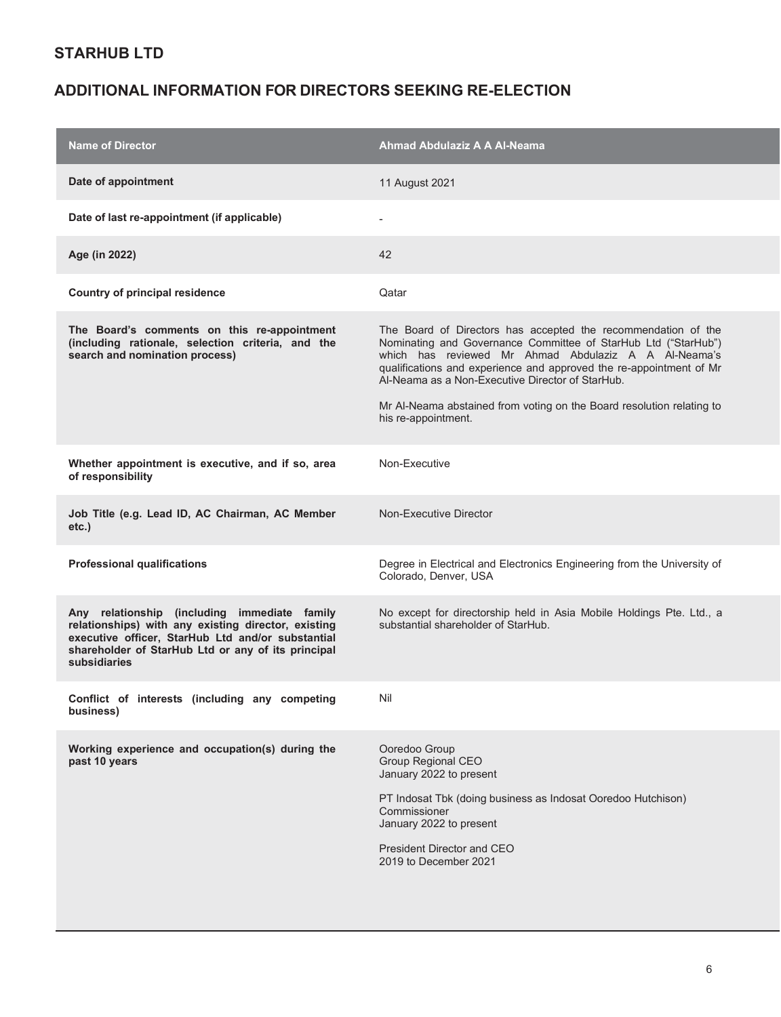| <b>Name of Director</b>                                                                                                                                                                                                        | Ahmad Abdulaziz A A Al-Neama                                                                                                                                                                                                                                                                                                                                                                                       |
|--------------------------------------------------------------------------------------------------------------------------------------------------------------------------------------------------------------------------------|--------------------------------------------------------------------------------------------------------------------------------------------------------------------------------------------------------------------------------------------------------------------------------------------------------------------------------------------------------------------------------------------------------------------|
| Date of appointment                                                                                                                                                                                                            | 11 August 2021                                                                                                                                                                                                                                                                                                                                                                                                     |
| Date of last re-appointment (if applicable)                                                                                                                                                                                    |                                                                                                                                                                                                                                                                                                                                                                                                                    |
| Age (in 2022)                                                                                                                                                                                                                  | 42                                                                                                                                                                                                                                                                                                                                                                                                                 |
| <b>Country of principal residence</b>                                                                                                                                                                                          | Qatar                                                                                                                                                                                                                                                                                                                                                                                                              |
| The Board's comments on this re-appointment<br>(including rationale, selection criteria, and the<br>search and nomination process)                                                                                             | The Board of Directors has accepted the recommendation of the<br>Nominating and Governance Committee of StarHub Ltd ("StarHub")<br>which has reviewed Mr Ahmad Abdulaziz A A Al-Neama's<br>qualifications and experience and approved the re-appointment of Mr<br>Al-Neama as a Non-Executive Director of StarHub.<br>Mr Al-Neama abstained from voting on the Board resolution relating to<br>his re-appointment. |
| Whether appointment is executive, and if so, area<br>of responsibility                                                                                                                                                         | Non-Executive                                                                                                                                                                                                                                                                                                                                                                                                      |
| Job Title (e.g. Lead ID, AC Chairman, AC Member<br>etc.)                                                                                                                                                                       | Non-Executive Director                                                                                                                                                                                                                                                                                                                                                                                             |
| <b>Professional qualifications</b>                                                                                                                                                                                             | Degree in Electrical and Electronics Engineering from the University of<br>Colorado, Denver, USA                                                                                                                                                                                                                                                                                                                   |
| Any relationship (including immediate family<br>relationships) with any existing director, existing<br>executive officer, StarHub Ltd and/or substantial<br>shareholder of StarHub Ltd or any of its principal<br>subsidiaries | No except for directorship held in Asia Mobile Holdings Pte. Ltd., a<br>substantial shareholder of StarHub.                                                                                                                                                                                                                                                                                                        |
| Conflict of interests (including any competing<br>business)                                                                                                                                                                    | Nil                                                                                                                                                                                                                                                                                                                                                                                                                |
| Working experience and occupation(s) during the<br>past 10 years                                                                                                                                                               | Ooredoo Group<br>Group Regional CEO<br>January 2022 to present<br>PT Indosat Tbk (doing business as Indosat Ooredoo Hutchison)<br>Commissioner<br>January 2022 to present<br>President Director and CEO<br>2019 to December 2021                                                                                                                                                                                   |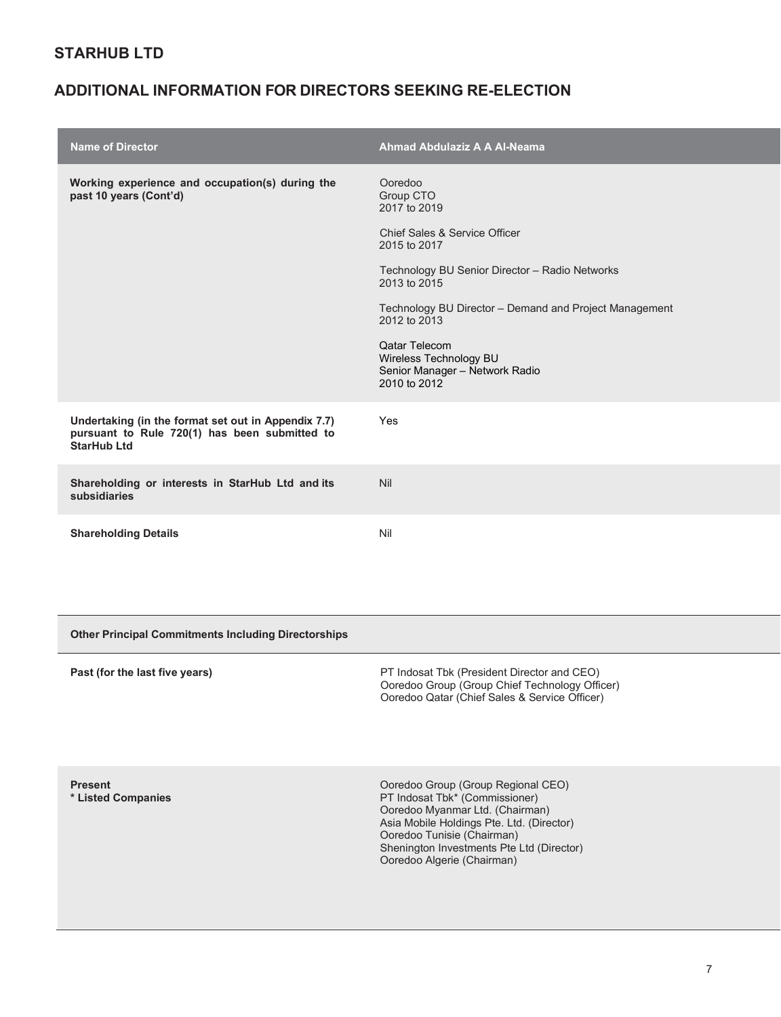| <b>Name of Director</b>                                                                                                    | <b>Ahmad Abdulaziz A A Al-Neama</b>                                                                                                                                                                                                                                                                                            |
|----------------------------------------------------------------------------------------------------------------------------|--------------------------------------------------------------------------------------------------------------------------------------------------------------------------------------------------------------------------------------------------------------------------------------------------------------------------------|
| Working experience and occupation(s) during the<br>past 10 years (Cont'd)                                                  | Ooredoo<br>Group CTO<br>2017 to 2019<br>Chief Sales & Service Officer<br>2015 to 2017<br>Technology BU Senior Director - Radio Networks<br>2013 to 2015<br>Technology BU Director – Demand and Project Management<br>2012 to 2013<br>Qatar Telecom<br>Wireless Technology BU<br>Senior Manager - Network Radio<br>2010 to 2012 |
| Undertaking (in the format set out in Appendix 7.7)<br>pursuant to Rule 720(1) has been submitted to<br><b>StarHub Ltd</b> | Yes                                                                                                                                                                                                                                                                                                                            |
| Shareholding or interests in StarHub Ltd and its<br>subsidiaries                                                           | Nil                                                                                                                                                                                                                                                                                                                            |
| <b>Shareholding Details</b>                                                                                                | Nil                                                                                                                                                                                                                                                                                                                            |

| <b>Other Principal Commitments Including Directorships</b> |                                                                                                                                                                                                                                                               |  |
|------------------------------------------------------------|---------------------------------------------------------------------------------------------------------------------------------------------------------------------------------------------------------------------------------------------------------------|--|
| Past (for the last five years)                             | PT Indosat Tbk (President Director and CEO)<br>Ooredoo Group (Group Chief Technology Officer)<br>Ooredoo Qatar (Chief Sales & Service Officer)                                                                                                                |  |
| <b>Present</b><br>* Listed Companies                       | Ooredoo Group (Group Regional CEO)<br>PT Indosat Tbk* (Commissioner)<br>Ooredoo Myanmar Ltd. (Chairman)<br>Asia Mobile Holdings Pte. Ltd. (Director)<br>Ooredoo Tunisie (Chairman)<br>Shenington Investments Pte Ltd (Director)<br>Ooredoo Algerie (Chairman) |  |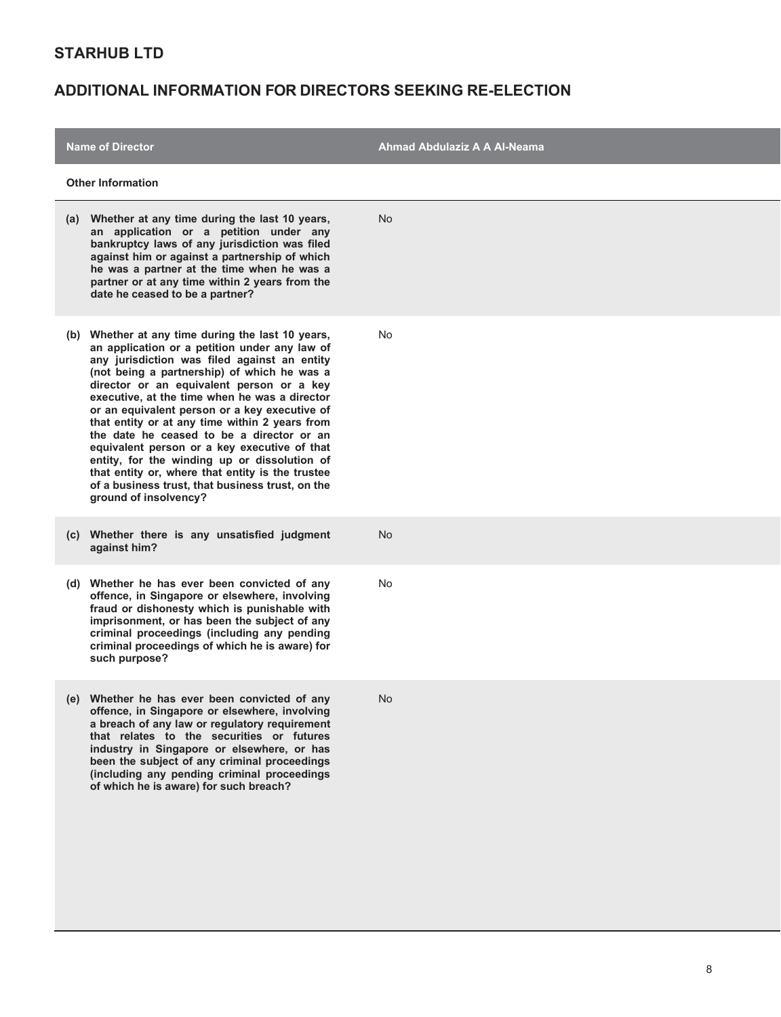| <b>Name of Director</b>                                                                                                                                                                                                                                                                                                                                                                                                                                                                                                                                                                                                                                                          | Ahmad Abdulaziz A A Al-Neama |
|----------------------------------------------------------------------------------------------------------------------------------------------------------------------------------------------------------------------------------------------------------------------------------------------------------------------------------------------------------------------------------------------------------------------------------------------------------------------------------------------------------------------------------------------------------------------------------------------------------------------------------------------------------------------------------|------------------------------|
| <b>Other Information</b>                                                                                                                                                                                                                                                                                                                                                                                                                                                                                                                                                                                                                                                         |                              |
| Whether at any time during the last 10 years,<br>(a)<br>an application or a petition under any<br>bankruptcy laws of any jurisdiction was filed<br>against him or against a partnership of which<br>he was a partner at the time when he was a<br>partner or at any time within 2 years from the<br>date he ceased to be a partner?                                                                                                                                                                                                                                                                                                                                              | <b>No</b>                    |
| (b) Whether at any time during the last 10 years,<br>an application or a petition under any law of<br>any jurisdiction was filed against an entity<br>(not being a partnership) of which he was a<br>director or an equivalent person or a key<br>executive, at the time when he was a director<br>or an equivalent person or a key executive of<br>that entity or at any time within 2 years from<br>the date he ceased to be a director or an<br>equivalent person or a key executive of that<br>entity, for the winding up or dissolution of<br>that entity or, where that entity is the trustee<br>of a business trust, that business trust, on the<br>ground of insolvency? | No                           |
| (c) Whether there is any unsatisfied judgment<br>against him?                                                                                                                                                                                                                                                                                                                                                                                                                                                                                                                                                                                                                    | <b>No</b>                    |
| (d) Whether he has ever been convicted of any<br>offence, in Singapore or elsewhere, involving<br>fraud or dishonesty which is punishable with<br>imprisonment, or has been the subject of any<br>criminal proceedings (including any pending<br>criminal proceedings of which he is aware) for<br>such purpose?                                                                                                                                                                                                                                                                                                                                                                 | <b>No</b>                    |
| (e) Whether he has ever been convicted of any<br>offence, in Singapore or elsewhere, involving<br>a breach of any law or regulatory requirement<br>that relates to the securities or futures<br>industry in Singapore or elsewhere, or has<br>been the subject of any criminal proceedings<br>(including any pending criminal proceedings<br>of which he is aware) for such breach?                                                                                                                                                                                                                                                                                              | No.                          |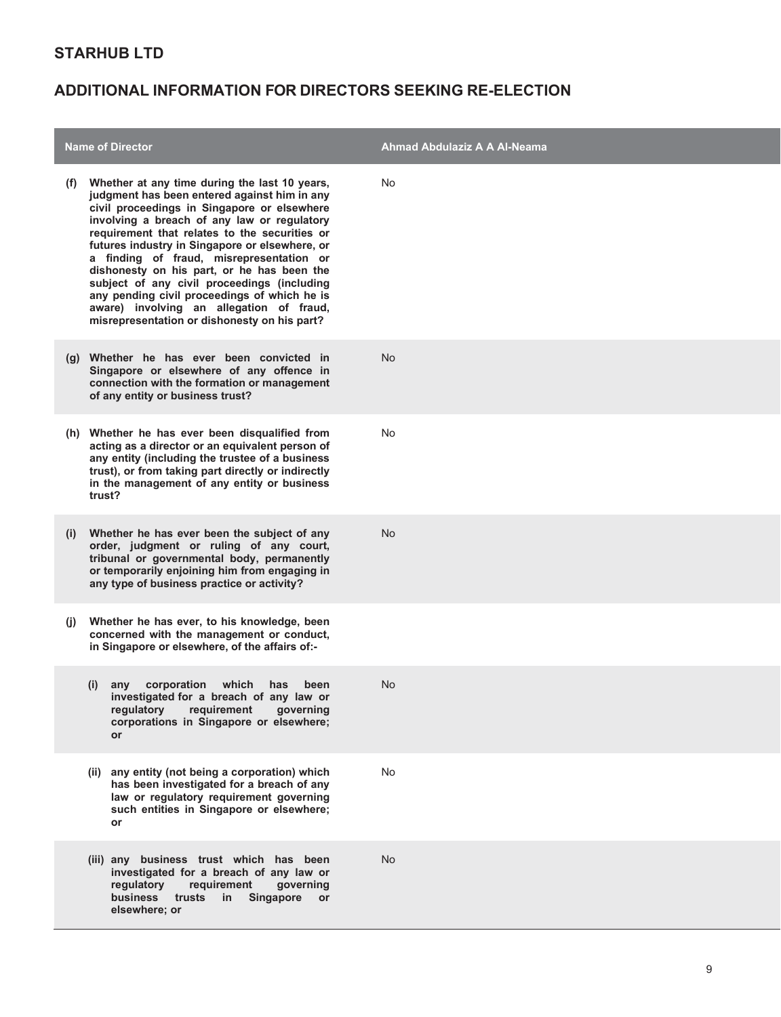| <b>Name of Director</b> |                                                                                                                                                                                                                                                                                                                                                                                                                                                                                                                                                                                     | Ahmad Abdulaziz A A Al-Neama |
|-------------------------|-------------------------------------------------------------------------------------------------------------------------------------------------------------------------------------------------------------------------------------------------------------------------------------------------------------------------------------------------------------------------------------------------------------------------------------------------------------------------------------------------------------------------------------------------------------------------------------|------------------------------|
| (f)                     | Whether at any time during the last 10 years,<br>judgment has been entered against him in any<br>civil proceedings in Singapore or elsewhere<br>involving a breach of any law or regulatory<br>requirement that relates to the securities or<br>futures industry in Singapore or elsewhere, or<br>a finding of fraud, misrepresentation or<br>dishonesty on his part, or he has been the<br>subject of any civil proceedings (including<br>any pending civil proceedings of which he is<br>aware) involving an allegation of fraud,<br>misrepresentation or dishonesty on his part? | No                           |
|                         | (g) Whether he has ever been convicted in<br>Singapore or elsewhere of any offence in<br>connection with the formation or management<br>of any entity or business trust?                                                                                                                                                                                                                                                                                                                                                                                                            | No                           |
|                         | (h) Whether he has ever been disqualified from<br>acting as a director or an equivalent person of<br>any entity (including the trustee of a business<br>trust), or from taking part directly or indirectly<br>in the management of any entity or business<br>trust?                                                                                                                                                                                                                                                                                                                 | No                           |
| (i)                     | Whether he has ever been the subject of any<br>order, judgment or ruling of any court,<br>tribunal or governmental body, permanently<br>or temporarily enjoining him from engaging in<br>any type of business practice or activity?                                                                                                                                                                                                                                                                                                                                                 | <b>No</b>                    |
| $\mathbf{U}$            | Whether he has ever, to his knowledge, been<br>concerned with the management or conduct,<br>in Singapore or elsewhere, of the affairs of:-                                                                                                                                                                                                                                                                                                                                                                                                                                          |                              |
|                         | corporation which<br>(i)<br>has<br>been<br>any<br>investigated for a breach of any law or<br>regulatory<br>requirement<br>governing<br>corporations in Singapore or elsewhere;<br><b>or</b>                                                                                                                                                                                                                                                                                                                                                                                         | <b>No</b>                    |
|                         | (ii) any entity (not being a corporation) which<br>has been investigated for a breach of any<br>law or regulatory requirement governing<br>such entities in Singapore or elsewhere;<br>or                                                                                                                                                                                                                                                                                                                                                                                           | No                           |
|                         | (iii) any business trust which has been<br>investigated for a breach of any law or<br>regulatory<br>requirement<br>governing<br><b>business</b><br>trusts<br>in<br><b>Singapore</b><br><b>or</b><br>elsewhere; or                                                                                                                                                                                                                                                                                                                                                                   | <b>No</b>                    |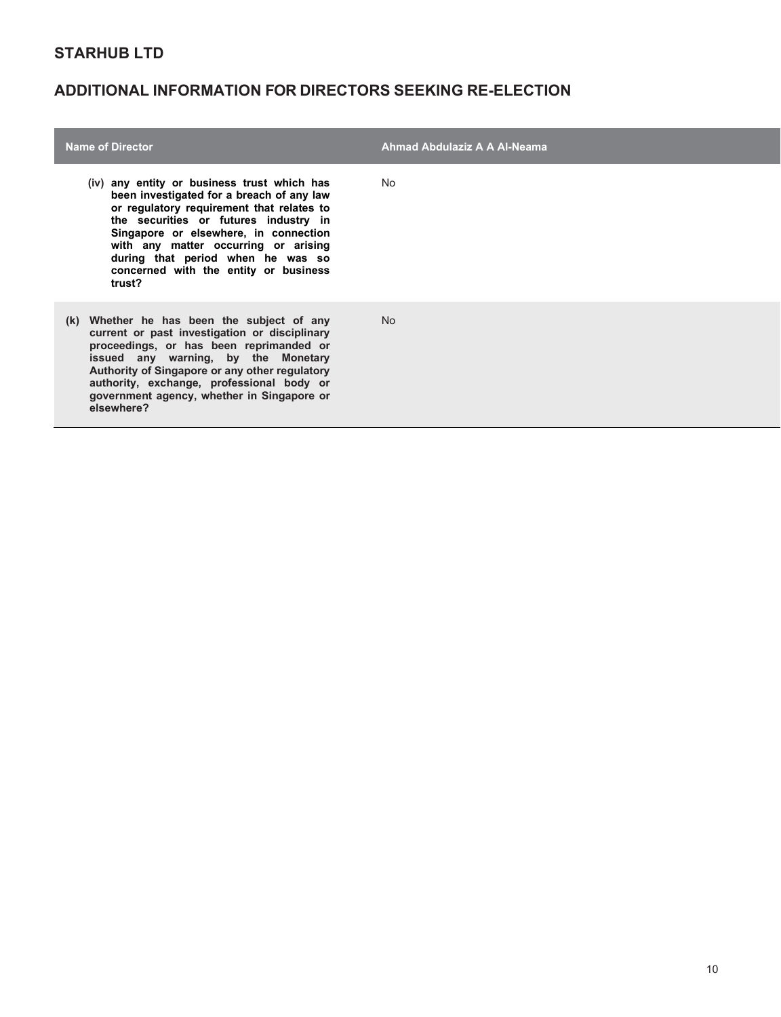| <b>Name of Director</b>                                                                                                                                                                                                                                                                                                                                 | Ahmad Abdulaziz A A Al-Neama |
|---------------------------------------------------------------------------------------------------------------------------------------------------------------------------------------------------------------------------------------------------------------------------------------------------------------------------------------------------------|------------------------------|
| (iv) any entity or business trust which has<br>been investigated for a breach of any law<br>or regulatory requirement that relates to<br>the securities or futures industry in<br>Singapore or elsewhere, in connection<br>with any matter occurring or arising<br>during that period when he was so<br>concerned with the entity or business<br>trust? | No.                          |
| (k) Whether he has been the subject of any<br>current or past investigation or disciplinary<br>proceedings, or has been reprimanded or<br>issued any warning, by the Monetary<br>Authority of Singapore or any other regulatory<br>authority, exchange, professional body or<br>government agency, whether in Singapore or<br>elsewhere?                | <b>No</b>                    |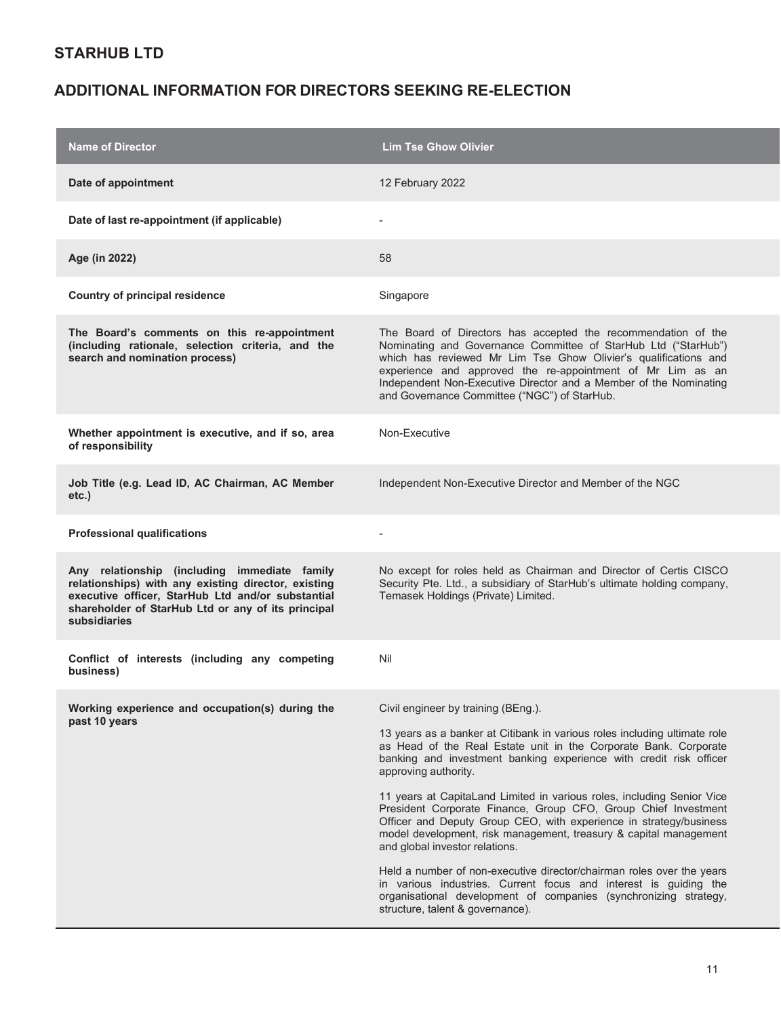| <b>Name of Director</b>                                                                                                                                                                                                        | <b>Lim Tse Ghow Olivier</b>                                                                                                                                                                                                                                                                                                                                                                                                                                                                                                                                                                                                                                                                                                                                                                                                                                      |
|--------------------------------------------------------------------------------------------------------------------------------------------------------------------------------------------------------------------------------|------------------------------------------------------------------------------------------------------------------------------------------------------------------------------------------------------------------------------------------------------------------------------------------------------------------------------------------------------------------------------------------------------------------------------------------------------------------------------------------------------------------------------------------------------------------------------------------------------------------------------------------------------------------------------------------------------------------------------------------------------------------------------------------------------------------------------------------------------------------|
| Date of appointment                                                                                                                                                                                                            | 12 February 2022                                                                                                                                                                                                                                                                                                                                                                                                                                                                                                                                                                                                                                                                                                                                                                                                                                                 |
| Date of last re-appointment (if applicable)                                                                                                                                                                                    |                                                                                                                                                                                                                                                                                                                                                                                                                                                                                                                                                                                                                                                                                                                                                                                                                                                                  |
| Age (in 2022)                                                                                                                                                                                                                  | 58                                                                                                                                                                                                                                                                                                                                                                                                                                                                                                                                                                                                                                                                                                                                                                                                                                                               |
| <b>Country of principal residence</b>                                                                                                                                                                                          | Singapore                                                                                                                                                                                                                                                                                                                                                                                                                                                                                                                                                                                                                                                                                                                                                                                                                                                        |
| The Board's comments on this re-appointment<br>(including rationale, selection criteria, and the<br>search and nomination process)                                                                                             | The Board of Directors has accepted the recommendation of the<br>Nominating and Governance Committee of StarHub Ltd ("StarHub")<br>which has reviewed Mr Lim Tse Ghow Olivier's qualifications and<br>experience and approved the re-appointment of Mr Lim as an<br>Independent Non-Executive Director and a Member of the Nominating<br>and Governance Committee ("NGC") of StarHub.                                                                                                                                                                                                                                                                                                                                                                                                                                                                            |
| Whether appointment is executive, and if so, area<br>of responsibility                                                                                                                                                         | Non-Executive                                                                                                                                                                                                                                                                                                                                                                                                                                                                                                                                                                                                                                                                                                                                                                                                                                                    |
| Job Title (e.g. Lead ID, AC Chairman, AC Member<br>etc.)                                                                                                                                                                       | Independent Non-Executive Director and Member of the NGC                                                                                                                                                                                                                                                                                                                                                                                                                                                                                                                                                                                                                                                                                                                                                                                                         |
| <b>Professional qualifications</b>                                                                                                                                                                                             |                                                                                                                                                                                                                                                                                                                                                                                                                                                                                                                                                                                                                                                                                                                                                                                                                                                                  |
| Any relationship (including immediate family<br>relationships) with any existing director, existing<br>executive officer, StarHub Ltd and/or substantial<br>shareholder of StarHub Ltd or any of its principal<br>subsidiaries | No except for roles held as Chairman and Director of Certis CISCO<br>Security Pte. Ltd., a subsidiary of StarHub's ultimate holding company,<br>Temasek Holdings (Private) Limited.                                                                                                                                                                                                                                                                                                                                                                                                                                                                                                                                                                                                                                                                              |
| Conflict of interests (including any competing<br>business)                                                                                                                                                                    | Nil                                                                                                                                                                                                                                                                                                                                                                                                                                                                                                                                                                                                                                                                                                                                                                                                                                                              |
| Working experience and occupation(s) during the<br>past 10 years                                                                                                                                                               | Civil engineer by training (BEng.).<br>13 years as a banker at Citibank in various roles including ultimate role<br>as Head of the Real Estate unit in the Corporate Bank. Corporate<br>banking and investment banking experience with credit risk officer<br>approving authority.<br>11 years at CapitaLand Limited in various roles, including Senior Vice<br>President Corporate Finance, Group CFO, Group Chief Investment<br>Officer and Deputy Group CEO, with experience in strategy/business<br>model development, risk management, treasury & capital management<br>and global investor relations.<br>Held a number of non-executive director/chairman roles over the years<br>in various industries. Current focus and interest is guiding the<br>organisational development of companies (synchronizing strategy,<br>structure, talent & governance). |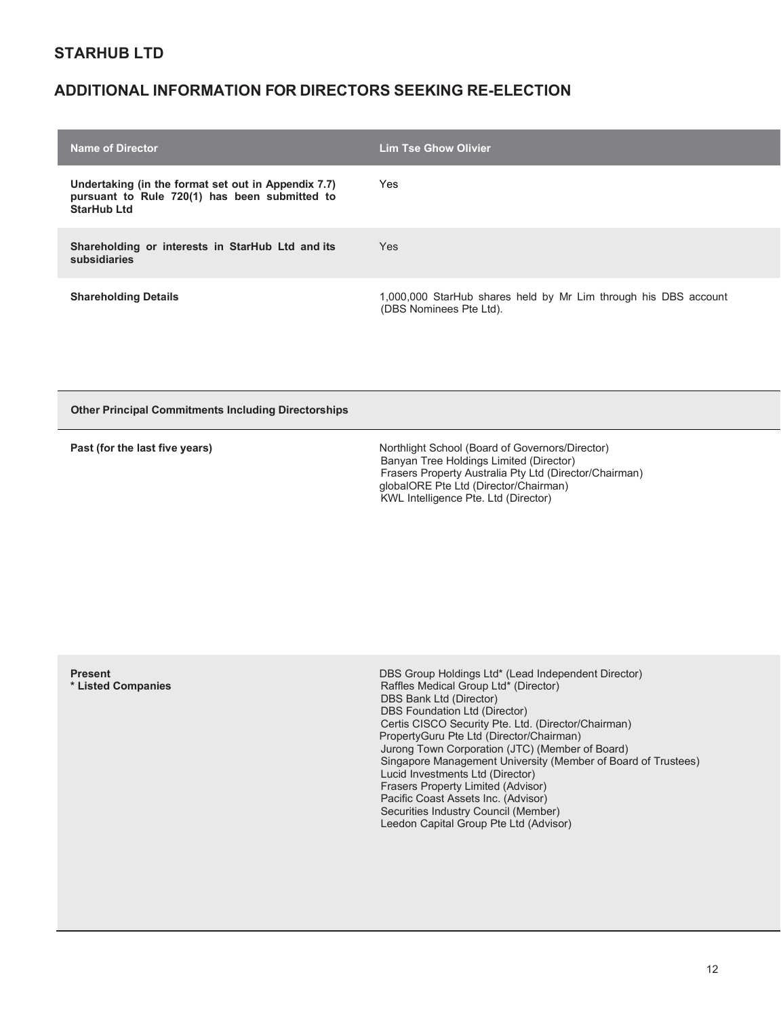# **ADDITIONAL INFORMATION FOR DIRECTORS SEEKING RE-ELECTION**

| <b>Name of Director</b>                                                                                                    | <b>Lim Tse Ghow Olivier</b>                                                                |
|----------------------------------------------------------------------------------------------------------------------------|--------------------------------------------------------------------------------------------|
| Undertaking (in the format set out in Appendix 7.7)<br>pursuant to Rule 720(1) has been submitted to<br><b>StarHub Ltd</b> | Yes                                                                                        |
| Shareholding or interests in StarHub Ltd and its<br>subsidiaries                                                           | <b>Yes</b>                                                                                 |
| <b>Shareholding Details</b>                                                                                                | 1,000,000 StarHub shares held by Mr Lim through his DBS account<br>(DBS Nominees Pte Ltd). |

**Other Principal Commitments Including Directorships**

| Past (for the last five years) | Northlight School (Board of Governors/Director)<br>Banyan Tree Holdings Limited (Director)<br>Frasers Property Australia Pty Ltd (Director/Chairman)<br>globalORE Pte Ltd (Director/Chairman) |
|--------------------------------|-----------------------------------------------------------------------------------------------------------------------------------------------------------------------------------------------|
|                                | KWL Intelligence Pte. Ltd (Director)                                                                                                                                                          |

| <b>Present</b><br>* Listed Companies | DBS Group Holdings Ltd* (Lead Independent Director)<br>Raffles Medical Group Ltd* (Director)<br>DBS Bank Ltd (Director)<br><b>DBS Foundation Ltd (Director)</b><br>Certis CISCO Security Pte. Ltd. (Director/Chairman)<br>PropertyGuru Pte Ltd (Director/Chairman)<br>Jurong Town Corporation (JTC) (Member of Board)<br>Singapore Management University (Member of Board of Trustees)<br>Lucid Investments Ltd (Director)<br>Frasers Property Limited (Advisor)<br>Pacific Coast Assets Inc. (Advisor)<br>Securities Industry Council (Member)<br>Leedon Capital Group Pte Ltd (Advisor) |
|--------------------------------------|-------------------------------------------------------------------------------------------------------------------------------------------------------------------------------------------------------------------------------------------------------------------------------------------------------------------------------------------------------------------------------------------------------------------------------------------------------------------------------------------------------------------------------------------------------------------------------------------|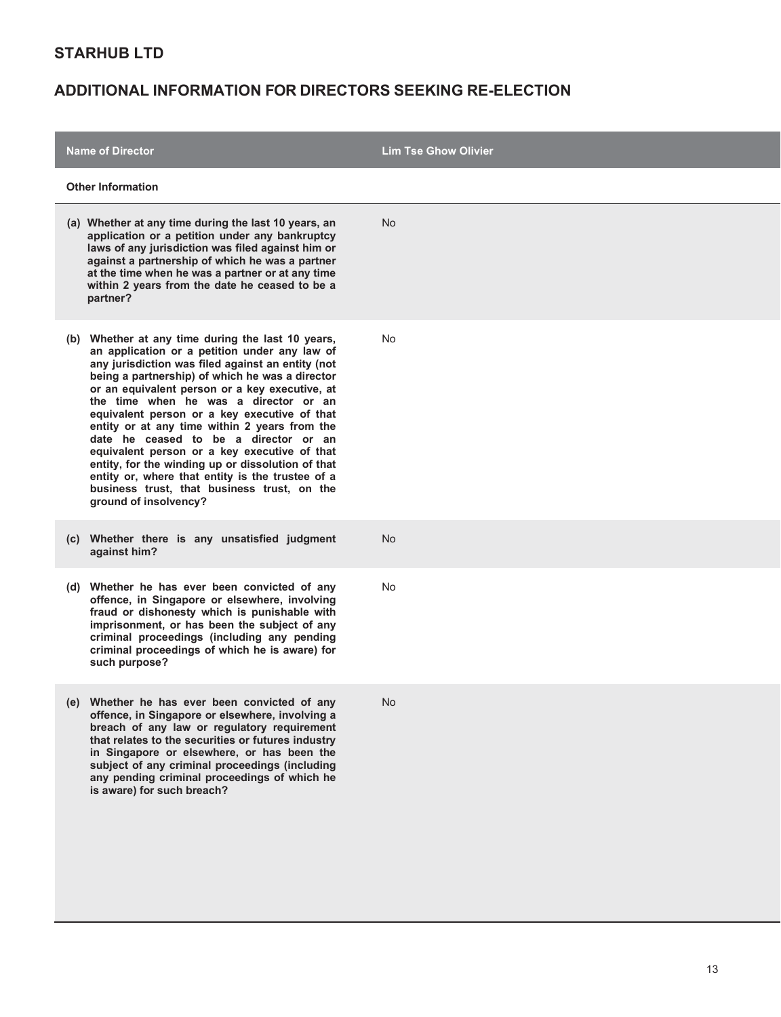| <b>Name of Director</b>                                                                                                                                                                                                                                                                                                                                                                                                                                                                                                                                                                                                                                                          | <b>Lim Tse Ghow Olivier</b> |
|----------------------------------------------------------------------------------------------------------------------------------------------------------------------------------------------------------------------------------------------------------------------------------------------------------------------------------------------------------------------------------------------------------------------------------------------------------------------------------------------------------------------------------------------------------------------------------------------------------------------------------------------------------------------------------|-----------------------------|
| <b>Other Information</b>                                                                                                                                                                                                                                                                                                                                                                                                                                                                                                                                                                                                                                                         |                             |
| (a) Whether at any time during the last 10 years, an<br>application or a petition under any bankruptcy<br>laws of any jurisdiction was filed against him or<br>against a partnership of which he was a partner<br>at the time when he was a partner or at any time<br>within 2 years from the date he ceased to be a<br>partner?                                                                                                                                                                                                                                                                                                                                                 | No.                         |
| (b) Whether at any time during the last 10 years,<br>an application or a petition under any law of<br>any jurisdiction was filed against an entity (not<br>being a partnership) of which he was a director<br>or an equivalent person or a key executive, at<br>the time when he was a director or an<br>equivalent person or a key executive of that<br>entity or at any time within 2 years from the<br>date he ceased to be a director or an<br>equivalent person or a key executive of that<br>entity, for the winding up or dissolution of that<br>entity or, where that entity is the trustee of a<br>business trust, that business trust, on the<br>ground of insolvency? | No                          |
| Whether there is any unsatisfied judgment<br>(C)  <br>against him?                                                                                                                                                                                                                                                                                                                                                                                                                                                                                                                                                                                                               | <b>No</b>                   |
| (d) Whether he has ever been convicted of any<br>offence, in Singapore or elsewhere, involving<br>fraud or dishonesty which is punishable with<br>imprisonment, or has been the subject of any<br>criminal proceedings (including any pending<br>criminal proceedings of which he is aware) for<br>such purpose?                                                                                                                                                                                                                                                                                                                                                                 | No                          |
| (e) Whether he has ever been convicted of any<br>offence, in Singapore or elsewhere, involving a<br>breach of any law or regulatory requirement<br>that relates to the securities or futures industry<br>in Singapore or elsewhere, or has been the<br>subject of any criminal proceedings (including<br>any pending criminal proceedings of which he<br>is aware) for such breach?                                                                                                                                                                                                                                                                                              | <b>No</b>                   |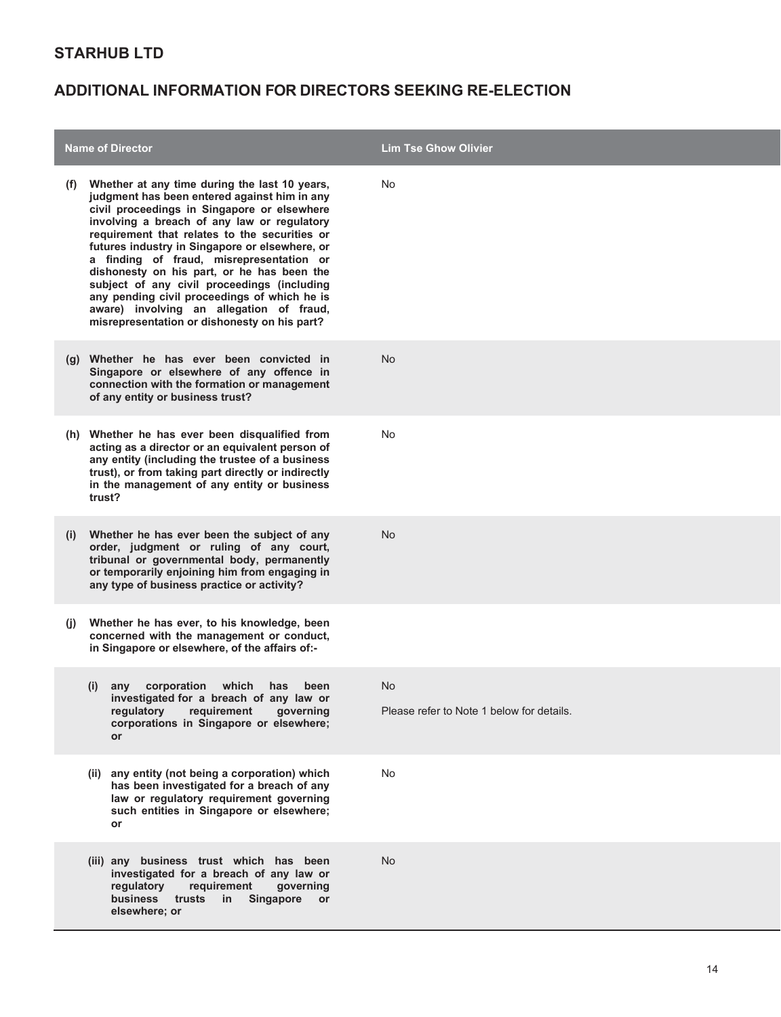|     | <b>Name of Director</b>                                                                                                                                                                                                                                                                                                                                                                                                                                                                                                                                                             | <b>Lim Tse Ghow Olivier</b>                     |
|-----|-------------------------------------------------------------------------------------------------------------------------------------------------------------------------------------------------------------------------------------------------------------------------------------------------------------------------------------------------------------------------------------------------------------------------------------------------------------------------------------------------------------------------------------------------------------------------------------|-------------------------------------------------|
| (t) | Whether at any time during the last 10 years,<br>judgment has been entered against him in any<br>civil proceedings in Singapore or elsewhere<br>involving a breach of any law or regulatory<br>requirement that relates to the securities or<br>futures industry in Singapore or elsewhere, or<br>a finding of fraud, misrepresentation or<br>dishonesty on his part, or he has been the<br>subject of any civil proceedings (including<br>any pending civil proceedings of which he is<br>aware) involving an allegation of fraud,<br>misrepresentation or dishonesty on his part? | No                                              |
|     | (g) Whether he has ever been convicted in<br>Singapore or elsewhere of any offence in<br>connection with the formation or management<br>of any entity or business trust?                                                                                                                                                                                                                                                                                                                                                                                                            | <b>No</b>                                       |
|     | (h) Whether he has ever been disqualified from<br>acting as a director or an equivalent person of<br>any entity (including the trustee of a business<br>trust), or from taking part directly or indirectly<br>in the management of any entity or business<br>trust?                                                                                                                                                                                                                                                                                                                 | No                                              |
| (i) | Whether he has ever been the subject of any<br>order, judgment or ruling of any court,<br>tribunal or governmental body, permanently<br>or temporarily enjoining him from engaging in<br>any type of business practice or activity?                                                                                                                                                                                                                                                                                                                                                 | <b>No</b>                                       |
| (I) | Whether he has ever, to his knowledge, been<br>concerned with the management or conduct,<br>in Singapore or elsewhere, of the affairs of:-                                                                                                                                                                                                                                                                                                                                                                                                                                          |                                                 |
|     | any corporation which has<br>(i)<br>been<br>investigated for a breach of any law or<br>regulatory<br>requirement<br>governing<br>corporations in Singapore or elsewhere;<br><b>or</b>                                                                                                                                                                                                                                                                                                                                                                                               | No<br>Please refer to Note 1 below for details. |
|     | (ii) any entity (not being a corporation) which<br>has been investigated for a breach of any<br>law or regulatory requirement governing<br>such entities in Singapore or elsewhere;<br>or                                                                                                                                                                                                                                                                                                                                                                                           | No                                              |
|     | (iii) any business trust which has been<br>investigated for a breach of any law or<br>regulatory<br>requirement<br>governing<br>business trusts<br>in Singapore<br><b>or</b><br>elsewhere; or                                                                                                                                                                                                                                                                                                                                                                                       | <b>No</b>                                       |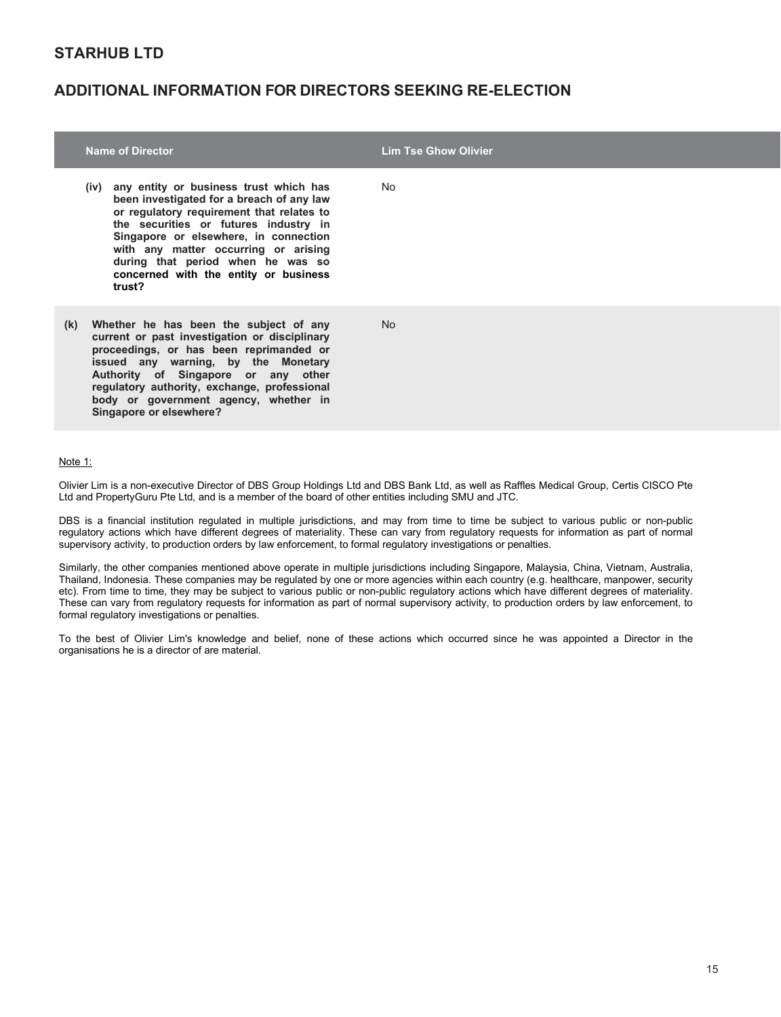#### **ADDITIONAL INFORMATION FOR DIRECTORS SEEKING RE-ELECTION**

|     | <b>Name of Director</b>                                                                                                                                                                                                                                                                                                                                 | <b>Lim Tse Ghow Olivier</b> |
|-----|---------------------------------------------------------------------------------------------------------------------------------------------------------------------------------------------------------------------------------------------------------------------------------------------------------------------------------------------------------|-----------------------------|
|     | (iv) any entity or business trust which has<br>been investigated for a breach of any law<br>or regulatory requirement that relates to<br>the securities or futures industry in<br>Singapore or elsewhere, in connection<br>with any matter occurring or arising<br>during that period when he was so<br>concerned with the entity or business<br>trust? | No.                         |
| (k) | Whether he has been the subject of any<br>current or past investigation or disciplinary<br>proceedings, or has been reprimanded or<br>issued any warning, by the Monetary<br>Authority of Singapore or any other<br>regulatory authority, exchange, professional<br>body or government agency, whether in<br>Singapore or elsewhere?                    | No.                         |

#### Note 1:

Olivier Lim is a non-executive Director of DBS Group Holdings Ltd and DBS Bank Ltd, as well as Raffles Medical Group, Certis CISCO Pte Ltd and PropertyGuru Pte Ltd, and is a member of the board of other entities including SMU and JTC.

DBS is a financial institution regulated in multiple jurisdictions, and may from time to time be subject to various public or non-public regulatory actions which have different degrees of materiality. These can vary from regulatory requests for information as part of normal supervisory activity, to production orders by law enforcement, to formal regulatory investigations or penalties.

Similarly, the other companies mentioned above operate in multiple jurisdictions including Singapore, Malaysia, China, Vietnam, Australia, Thailand, Indonesia. These companies may be regulated by one or more agencies within each country (e.g. healthcare, manpower, security etc). From time to time, they may be subject to various public or non-public regulatory actions which have different degrees of materiality. These can vary from regulatory requests for information as part of normal supervisory activity, to production orders by law enforcement, to formal regulatory investigations or penalties.

To the best of Olivier Lim's knowledge and belief, none of these actions which occurred since he was appointed a Director in the organisations he is a director of are material.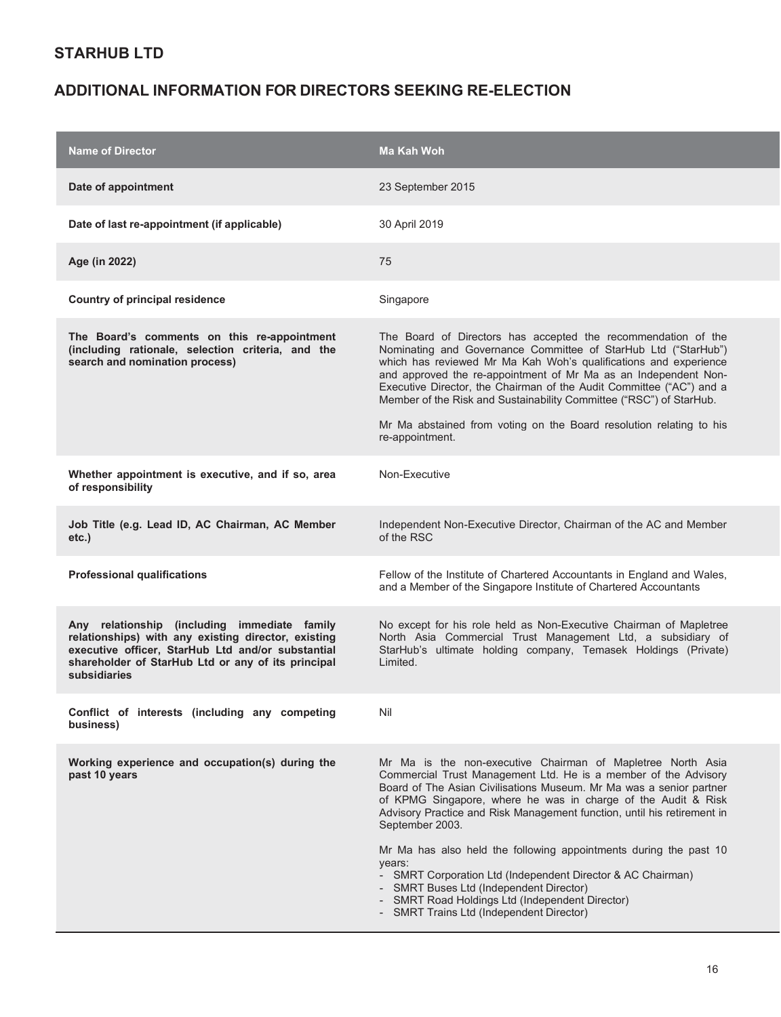| <b>Name of Director</b>                                                                                                                                                                                                        | Ma Kah Woh                                                                                                                                                                                                                                                                                                                                                                                                                                                                                                                                                                                                                                                        |
|--------------------------------------------------------------------------------------------------------------------------------------------------------------------------------------------------------------------------------|-------------------------------------------------------------------------------------------------------------------------------------------------------------------------------------------------------------------------------------------------------------------------------------------------------------------------------------------------------------------------------------------------------------------------------------------------------------------------------------------------------------------------------------------------------------------------------------------------------------------------------------------------------------------|
| Date of appointment                                                                                                                                                                                                            | 23 September 2015                                                                                                                                                                                                                                                                                                                                                                                                                                                                                                                                                                                                                                                 |
| Date of last re-appointment (if applicable)                                                                                                                                                                                    | 30 April 2019                                                                                                                                                                                                                                                                                                                                                                                                                                                                                                                                                                                                                                                     |
| Age (in 2022)                                                                                                                                                                                                                  | 75                                                                                                                                                                                                                                                                                                                                                                                                                                                                                                                                                                                                                                                                |
| Country of principal residence                                                                                                                                                                                                 | Singapore                                                                                                                                                                                                                                                                                                                                                                                                                                                                                                                                                                                                                                                         |
| The Board's comments on this re-appointment<br>(including rationale, selection criteria, and the<br>search and nomination process)                                                                                             | The Board of Directors has accepted the recommendation of the<br>Nominating and Governance Committee of StarHub Ltd ("StarHub")<br>which has reviewed Mr Ma Kah Woh's qualifications and experience<br>and approved the re-appointment of Mr Ma as an Independent Non-<br>Executive Director, the Chairman of the Audit Committee ("AC") and a<br>Member of the Risk and Sustainability Committee ("RSC") of StarHub.<br>Mr Ma abstained from voting on the Board resolution relating to his<br>re-appointment.                                                                                                                                                   |
| Whether appointment is executive, and if so, area<br>of responsibility                                                                                                                                                         | Non-Executive                                                                                                                                                                                                                                                                                                                                                                                                                                                                                                                                                                                                                                                     |
| Job Title (e.g. Lead ID, AC Chairman, AC Member<br>$etc.$ )                                                                                                                                                                    | Independent Non-Executive Director, Chairman of the AC and Member<br>of the RSC                                                                                                                                                                                                                                                                                                                                                                                                                                                                                                                                                                                   |
| <b>Professional qualifications</b>                                                                                                                                                                                             | Fellow of the Institute of Chartered Accountants in England and Wales,<br>and a Member of the Singapore Institute of Chartered Accountants                                                                                                                                                                                                                                                                                                                                                                                                                                                                                                                        |
| Any relationship (including immediate family<br>relationships) with any existing director, existing<br>executive officer, StarHub Ltd and/or substantial<br>shareholder of StarHub Ltd or any of its principal<br>subsidiaries | No except for his role held as Non-Executive Chairman of Mapletree<br>North Asia Commercial Trust Management Ltd, a subsidiary of<br>StarHub's ultimate holding company, Temasek Holdings (Private)<br>Limited.                                                                                                                                                                                                                                                                                                                                                                                                                                                   |
| Conflict of interests (including any competing<br>business)                                                                                                                                                                    | Nil                                                                                                                                                                                                                                                                                                                                                                                                                                                                                                                                                                                                                                                               |
| Working experience and occupation(s) during the<br>past 10 years                                                                                                                                                               | Mr Ma is the non-executive Chairman of Mapletree North Asia<br>Commercial Trust Management Ltd. He is a member of the Advisory<br>Board of The Asian Civilisations Museum. Mr Ma was a senior partner<br>of KPMG Singapore, where he was in charge of the Audit & Risk<br>Advisory Practice and Risk Management function, until his retirement in<br>September 2003.<br>Mr Ma has also held the following appointments during the past 10<br>years:<br>- SMRT Corporation Ltd (Independent Director & AC Chairman)<br>- SMRT Buses Ltd (Independent Director)<br>- SMRT Road Holdings Ltd (Independent Director)<br><b>SMRT Trains Ltd (Independent Director)</b> |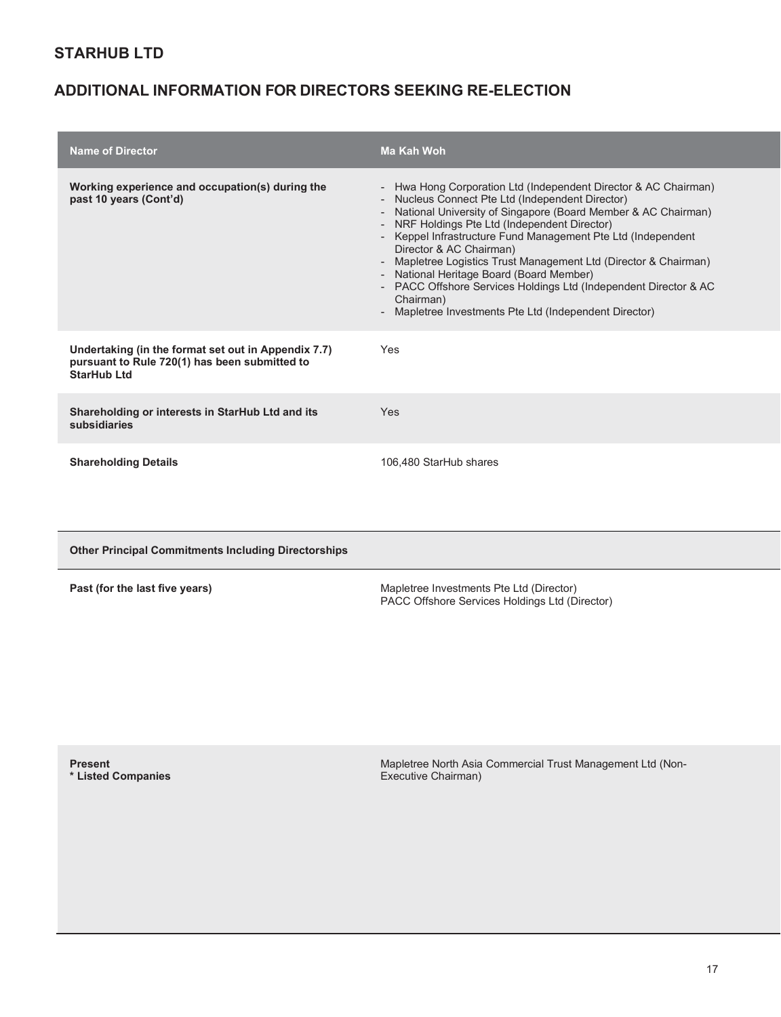# **ADDITIONAL INFORMATION FOR DIRECTORS SEEKING RE-ELECTION**

| <b>Name of Director</b>                                                                                                    | Ma Kah Woh                                                                                                                                                                                                                                                                                                                                                                                                                                                                                                                                                                                  |
|----------------------------------------------------------------------------------------------------------------------------|---------------------------------------------------------------------------------------------------------------------------------------------------------------------------------------------------------------------------------------------------------------------------------------------------------------------------------------------------------------------------------------------------------------------------------------------------------------------------------------------------------------------------------------------------------------------------------------------|
| Working experience and occupation(s) during the<br>past 10 years (Cont'd)                                                  | - Hwa Hong Corporation Ltd (Independent Director & AC Chairman)<br>- Nucleus Connect Pte Ltd (Independent Director)<br>- National University of Singapore (Board Member & AC Chairman)<br>- NRF Holdings Pte Ltd (Independent Director)<br>- Keppel Infrastructure Fund Management Pte Ltd (Independent<br>Director & AC Chairman)<br>- Mapletree Logistics Trust Management Ltd (Director & Chairman)<br>- National Heritage Board (Board Member)<br>- PACC Offshore Services Holdings Ltd (Independent Director & AC<br>Chairman)<br>Mapletree Investments Pte Ltd (Independent Director) |
| Undertaking (in the format set out in Appendix 7.7)<br>pursuant to Rule 720(1) has been submitted to<br><b>StarHub Ltd</b> | Yes                                                                                                                                                                                                                                                                                                                                                                                                                                                                                                                                                                                         |
| Shareholding or interests in StarHub Ltd and its<br>subsidiaries                                                           | Yes                                                                                                                                                                                                                                                                                                                                                                                                                                                                                                                                                                                         |
| <b>Shareholding Details</b>                                                                                                | 106,480 StarHub shares                                                                                                                                                                                                                                                                                                                                                                                                                                                                                                                                                                      |

**Other Principal Commitments Including Directorships**

| Past (for the last five years) |  |  |  |
|--------------------------------|--|--|--|
|--------------------------------|--|--|--|

**Past (for the last five years) Mapletree Investments Pte Ltd (Director)** Mapletree Investments Pte Ltd (Director) PACC Offshore Services Holdings Ltd (Director)

**Present \* Listed Companies**  Mapletree North Asia Commercial Trust Management Ltd (Non-Executive Chairman)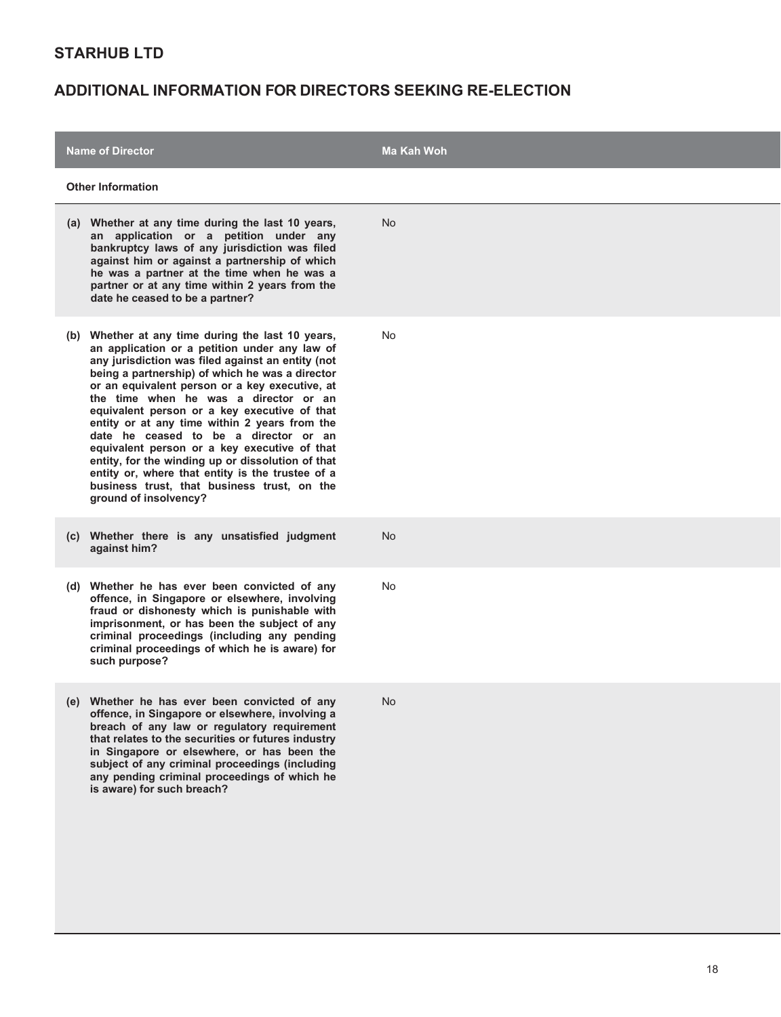| <b>Name of Director</b>                                                                                                                                                                                                                                                                                                                                                                                                                                                                                                                                                                                                                                                             | Ma Kah Woh |
|-------------------------------------------------------------------------------------------------------------------------------------------------------------------------------------------------------------------------------------------------------------------------------------------------------------------------------------------------------------------------------------------------------------------------------------------------------------------------------------------------------------------------------------------------------------------------------------------------------------------------------------------------------------------------------------|------------|
| <b>Other Information</b>                                                                                                                                                                                                                                                                                                                                                                                                                                                                                                                                                                                                                                                            |            |
| (a) Whether at any time during the last 10 years,<br>an application or a petition under any<br>bankruptcy laws of any jurisdiction was filed<br>against him or against a partnership of which<br>he was a partner at the time when he was a<br>partner or at any time within 2 years from the<br>date he ceased to be a partner?                                                                                                                                                                                                                                                                                                                                                    | <b>No</b>  |
| Whether at any time during the last 10 years,<br>(b)<br>an application or a petition under any law of<br>any jurisdiction was filed against an entity (not<br>being a partnership) of which he was a director<br>or an equivalent person or a key executive, at<br>the time when he was a director or an<br>equivalent person or a key executive of that<br>entity or at any time within 2 years from the<br>date he ceased to be a director or an<br>equivalent person or a key executive of that<br>entity, for the winding up or dissolution of that<br>entity or, where that entity is the trustee of a<br>business trust, that business trust, on the<br>ground of insolvency? | No         |
| (c) Whether there is any unsatisfied judgment<br>against him?                                                                                                                                                                                                                                                                                                                                                                                                                                                                                                                                                                                                                       | <b>No</b>  |
| (d) Whether he has ever been convicted of any<br>offence, in Singapore or elsewhere, involving<br>fraud or dishonesty which is punishable with<br>imprisonment, or has been the subject of any<br>criminal proceedings (including any pending<br>criminal proceedings of which he is aware) for<br>such purpose?                                                                                                                                                                                                                                                                                                                                                                    | No         |
| (e) Whether he has ever been convicted of any<br>offence, in Singapore or elsewhere, involving a<br>breach of any law or regulatory requirement<br>that relates to the securities or futures industry<br>in Singapore or elsewhere, or has been the<br>subject of any criminal proceedings (including<br>any pending criminal proceedings of which he<br>is aware) for such breach?                                                                                                                                                                                                                                                                                                 | No         |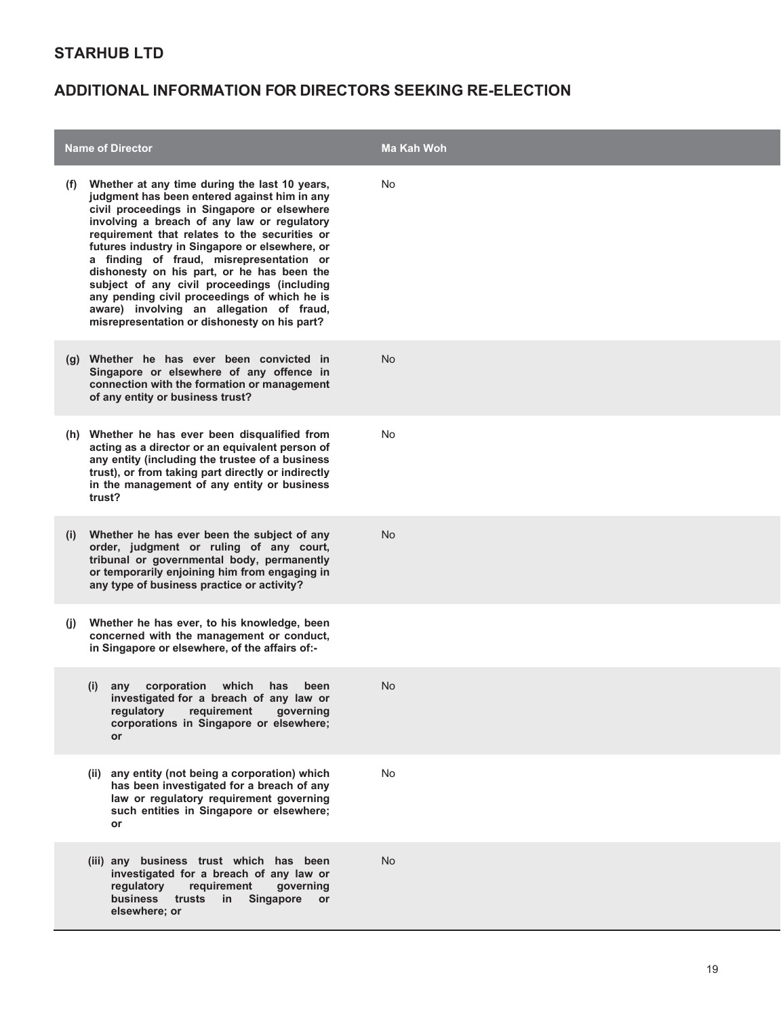|              | <b>Name of Director</b>                                                                                                                                                                                                                                                                                                                                                                                                                                                                                                                                                             | <b>Ma Kah Woh</b> |
|--------------|-------------------------------------------------------------------------------------------------------------------------------------------------------------------------------------------------------------------------------------------------------------------------------------------------------------------------------------------------------------------------------------------------------------------------------------------------------------------------------------------------------------------------------------------------------------------------------------|-------------------|
| (t)          | Whether at any time during the last 10 years,<br>judgment has been entered against him in any<br>civil proceedings in Singapore or elsewhere<br>involving a breach of any law or regulatory<br>requirement that relates to the securities or<br>futures industry in Singapore or elsewhere, or<br>a finding of fraud, misrepresentation or<br>dishonesty on his part, or he has been the<br>subject of any civil proceedings (including<br>any pending civil proceedings of which he is<br>aware) involving an allegation of fraud,<br>misrepresentation or dishonesty on his part? | No                |
|              | (g) Whether he has ever been convicted in<br>Singapore or elsewhere of any offence in<br>connection with the formation or management<br>of any entity or business trust?                                                                                                                                                                                                                                                                                                                                                                                                            | <b>No</b>         |
|              | (h) Whether he has ever been disqualified from<br>acting as a director or an equivalent person of<br>any entity (including the trustee of a business<br>trust), or from taking part directly or indirectly<br>in the management of any entity or business<br>trust?                                                                                                                                                                                                                                                                                                                 | No                |
| (i)          | Whether he has ever been the subject of any<br>order, judgment or ruling of any court,<br>tribunal or governmental body, permanently<br>or temporarily enjoining him from engaging in<br>any type of business practice or activity?                                                                                                                                                                                                                                                                                                                                                 | No                |
| $\mathbf{u}$ | Whether he has ever, to his knowledge, been<br>concerned with the management or conduct,<br>in Singapore or elsewhere, of the affairs of:-                                                                                                                                                                                                                                                                                                                                                                                                                                          |                   |
|              | corporation which<br>(i)<br>has<br>been<br>any<br>investigated for a breach of any law or<br>regulatory<br>requirement<br>governing<br>corporations in Singapore or elsewhere;<br><b>or</b>                                                                                                                                                                                                                                                                                                                                                                                         | No                |
|              | (ii) any entity (not being a corporation) which<br>has been investigated for a breach of any<br>law or regulatory requirement governing<br>such entities in Singapore or elsewhere;<br>or                                                                                                                                                                                                                                                                                                                                                                                           | No                |
|              | (iii) any business trust which has been<br>investigated for a breach of any law or<br>regulatory<br>requirement<br>governing<br>business<br>trusts<br>in<br>Singapore<br>or<br>elsewhere; or                                                                                                                                                                                                                                                                                                                                                                                        | <b>No</b>         |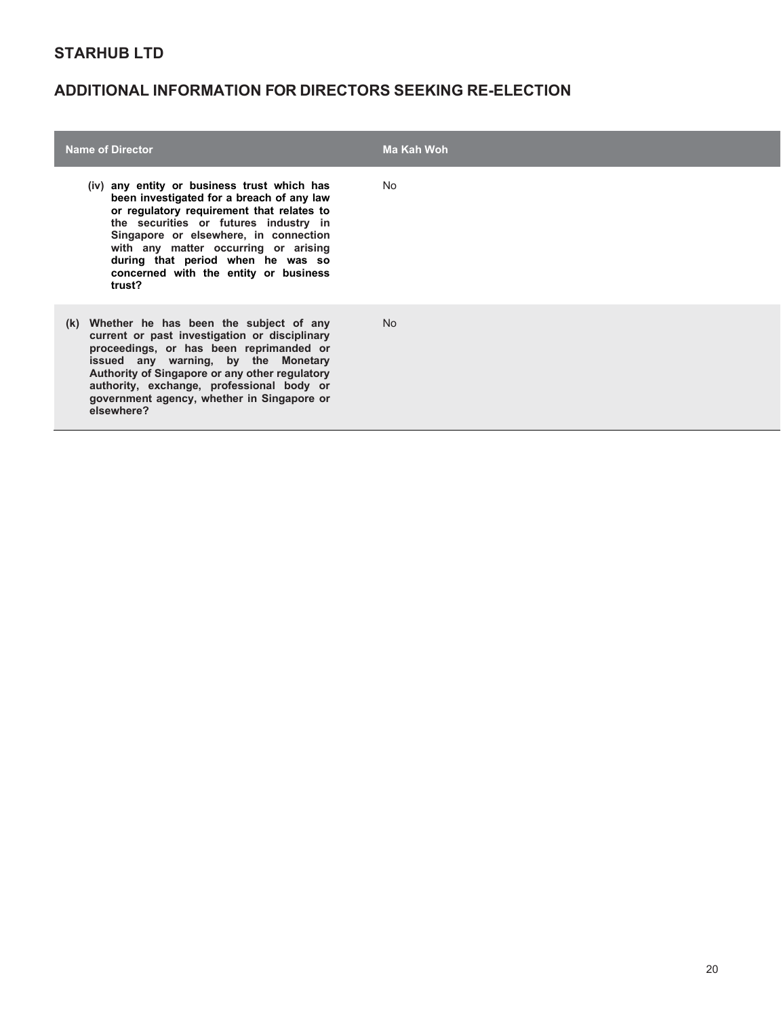| <b>Name of Director</b>                                                                                                                                                                                                                                                                                                                                 | Ma Kah Woh |
|---------------------------------------------------------------------------------------------------------------------------------------------------------------------------------------------------------------------------------------------------------------------------------------------------------------------------------------------------------|------------|
| (iv) any entity or business trust which has<br>been investigated for a breach of any law<br>or regulatory requirement that relates to<br>the securities or futures industry in<br>Singapore or elsewhere, in connection<br>with any matter occurring or arising<br>during that period when he was so<br>concerned with the entity or business<br>trust? | No.        |
| (k) Whether he has been the subject of any<br>current or past investigation or disciplinary<br>proceedings, or has been reprimanded or<br>issued any warning, by the Monetary<br>Authority of Singapore or any other regulatory<br>authority, exchange, professional body or<br>government agency, whether in Singapore or<br>elsewhere?                | No.        |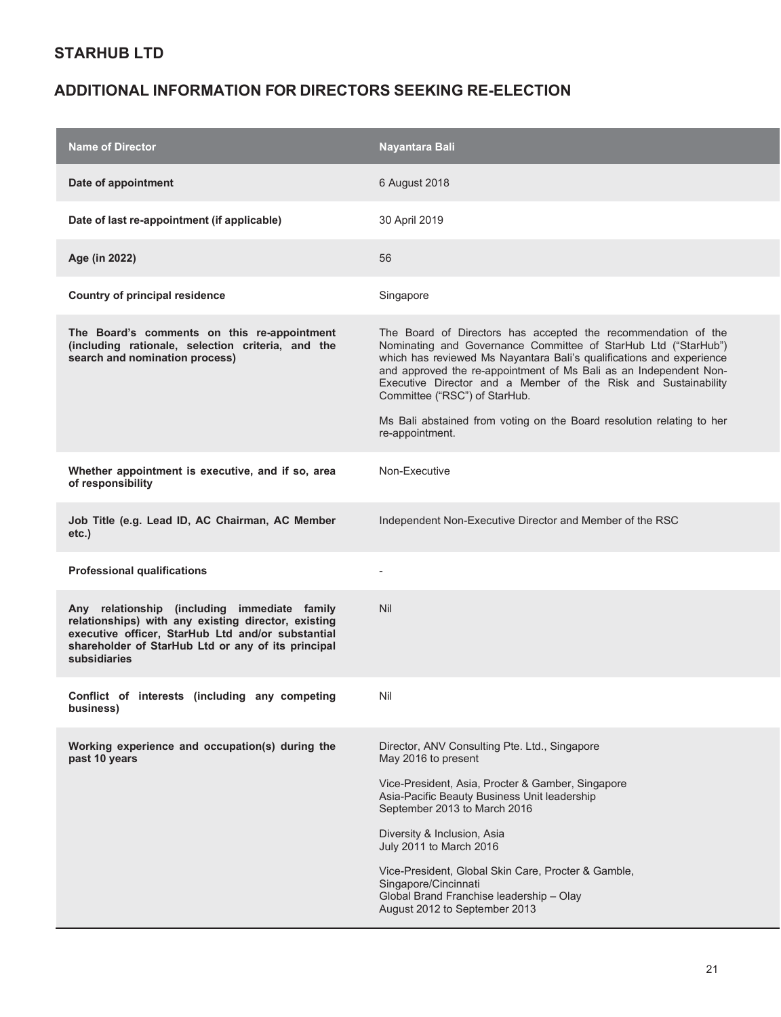| <b>Name of Director</b>                                                                                                                                                                                                        | Nayantara Bali                                                                                                                                                                                                                                                                                                                                                                  |
|--------------------------------------------------------------------------------------------------------------------------------------------------------------------------------------------------------------------------------|---------------------------------------------------------------------------------------------------------------------------------------------------------------------------------------------------------------------------------------------------------------------------------------------------------------------------------------------------------------------------------|
| Date of appointment                                                                                                                                                                                                            | 6 August 2018                                                                                                                                                                                                                                                                                                                                                                   |
| Date of last re-appointment (if applicable)                                                                                                                                                                                    | 30 April 2019                                                                                                                                                                                                                                                                                                                                                                   |
| Age (in 2022)                                                                                                                                                                                                                  | 56                                                                                                                                                                                                                                                                                                                                                                              |
| <b>Country of principal residence</b>                                                                                                                                                                                          | Singapore                                                                                                                                                                                                                                                                                                                                                                       |
| The Board's comments on this re-appointment<br>(including rationale, selection criteria, and the<br>search and nomination process)                                                                                             | The Board of Directors has accepted the recommendation of the<br>Nominating and Governance Committee of StarHub Ltd ("StarHub")<br>which has reviewed Ms Nayantara Bali's qualifications and experience<br>and approved the re-appointment of Ms Bali as an Independent Non-<br>Executive Director and a Member of the Risk and Sustainability<br>Committee ("RSC") of StarHub. |
|                                                                                                                                                                                                                                | Ms Bali abstained from voting on the Board resolution relating to her<br>re-appointment.                                                                                                                                                                                                                                                                                        |
| Whether appointment is executive, and if so, area<br>of responsibility                                                                                                                                                         | Non-Executive                                                                                                                                                                                                                                                                                                                                                                   |
| Job Title (e.g. Lead ID, AC Chairman, AC Member<br>etc.)                                                                                                                                                                       | Independent Non-Executive Director and Member of the RSC                                                                                                                                                                                                                                                                                                                        |
| <b>Professional qualifications</b>                                                                                                                                                                                             |                                                                                                                                                                                                                                                                                                                                                                                 |
| Any relationship (including immediate family<br>relationships) with any existing director, existing<br>executive officer, StarHub Ltd and/or substantial<br>shareholder of StarHub Ltd or any of its principal<br>subsidiaries | <b>Nil</b>                                                                                                                                                                                                                                                                                                                                                                      |
| Conflict of interests (including any competing<br>business)                                                                                                                                                                    | Nil                                                                                                                                                                                                                                                                                                                                                                             |
| Working experience and occupation(s) during the<br>past 10 years                                                                                                                                                               | Director, ANV Consulting Pte. Ltd., Singapore<br>May 2016 to present                                                                                                                                                                                                                                                                                                            |
|                                                                                                                                                                                                                                | Vice-President, Asia, Procter & Gamber, Singapore<br>Asia-Pacific Beauty Business Unit leadership<br>September 2013 to March 2016                                                                                                                                                                                                                                               |
|                                                                                                                                                                                                                                | Diversity & Inclusion, Asia<br>July 2011 to March 2016                                                                                                                                                                                                                                                                                                                          |
|                                                                                                                                                                                                                                | Vice-President, Global Skin Care, Procter & Gamble,<br>Singapore/Cincinnati<br>Global Brand Franchise leadership - Olay<br>August 2012 to September 2013                                                                                                                                                                                                                        |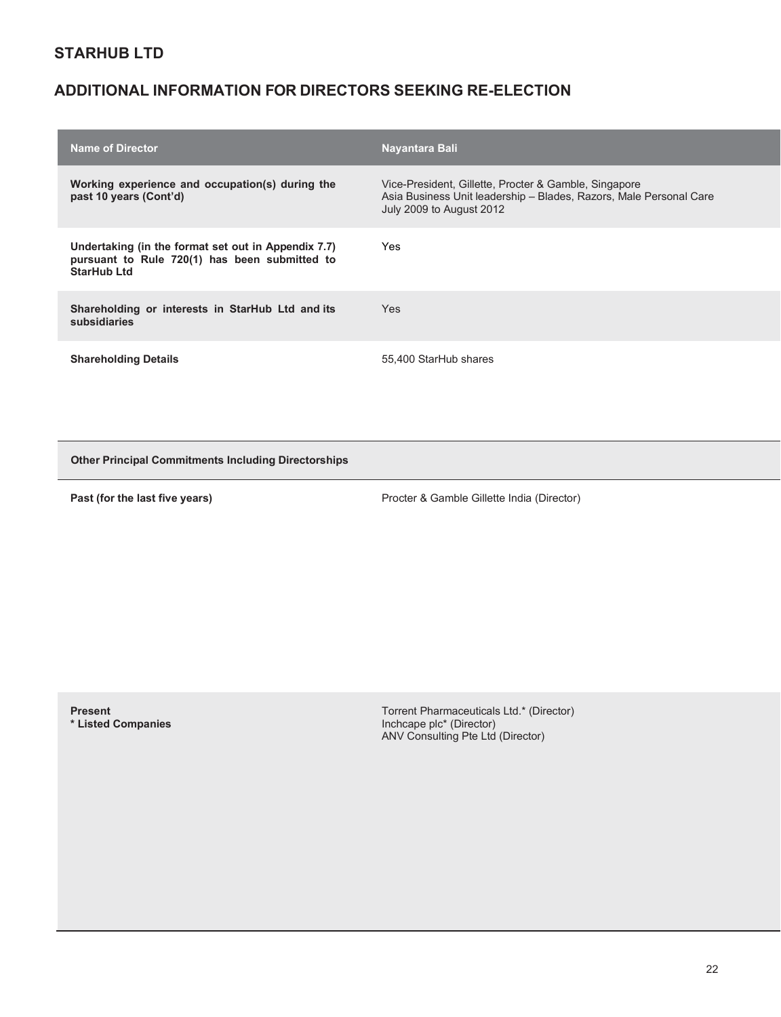# **ADDITIONAL INFORMATION FOR DIRECTORS SEEKING RE-ELECTION**

| <b>Name of Director</b>                                                                                                    | Nayantara Bali                                                                                                                                          |
|----------------------------------------------------------------------------------------------------------------------------|---------------------------------------------------------------------------------------------------------------------------------------------------------|
| Working experience and occupation(s) during the<br>past 10 years (Cont'd)                                                  | Vice-President, Gillette, Procter & Gamble, Singapore<br>Asia Business Unit leadership - Blades, Razors, Male Personal Care<br>July 2009 to August 2012 |
| Undertaking (in the format set out in Appendix 7.7)<br>pursuant to Rule 720(1) has been submitted to<br><b>StarHub Ltd</b> | Yes                                                                                                                                                     |
| Shareholding or interests in StarHub Ltd and its<br>subsidiaries                                                           | Yes                                                                                                                                                     |
| <b>Shareholding Details</b>                                                                                                | 55.400 StarHub shares                                                                                                                                   |

**Other Principal Commitments Including Directorships**

**Past (for the last five years) <b>Procter & Gamble Gillette India (Director)** Procter & Gamble Gillette India (Director)

**Present \* Listed Companies**  Torrent Pharmaceuticals Ltd.\* (Director) Inchcape plc\* (Director) ANV Consulting Pte Ltd (Director)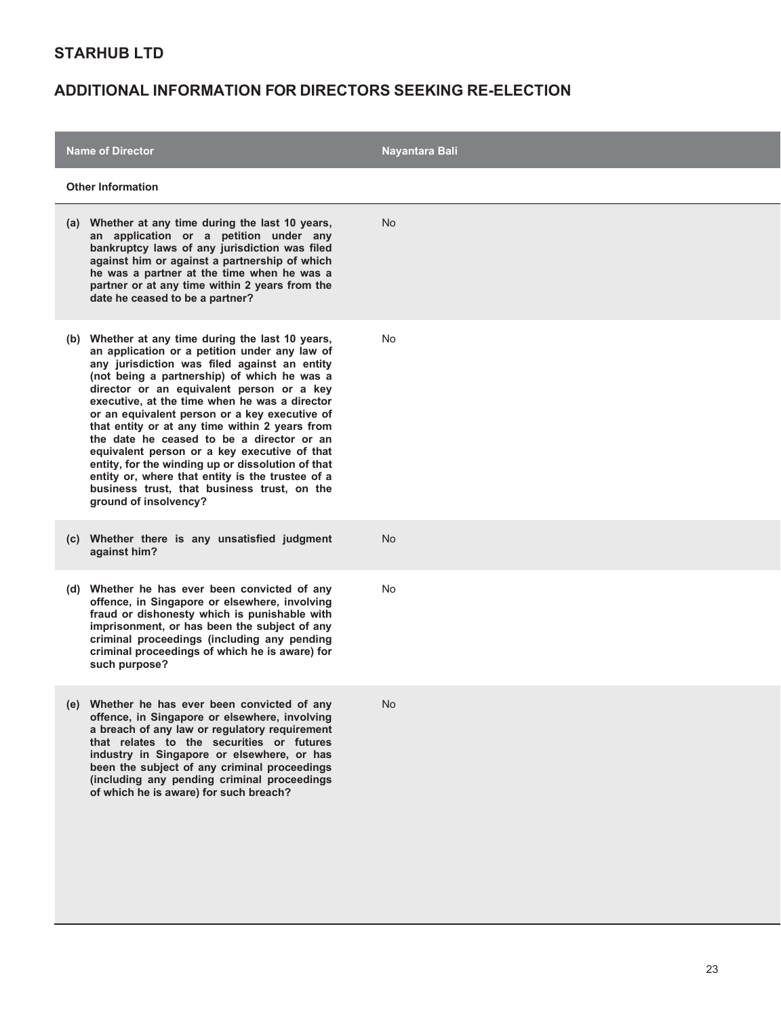| <b>Name of Director</b>                                                                                                                                                                                                                                                                                                                                                                                                                                                                                                                                                                                                                                                          | Nayantara Bali |  |
|----------------------------------------------------------------------------------------------------------------------------------------------------------------------------------------------------------------------------------------------------------------------------------------------------------------------------------------------------------------------------------------------------------------------------------------------------------------------------------------------------------------------------------------------------------------------------------------------------------------------------------------------------------------------------------|----------------|--|
| <b>Other Information</b>                                                                                                                                                                                                                                                                                                                                                                                                                                                                                                                                                                                                                                                         |                |  |
| (a) Whether at any time during the last 10 years,<br>an application or a petition under any<br>bankruptcy laws of any jurisdiction was filed<br>against him or against a partnership of which<br>he was a partner at the time when he was a<br>partner or at any time within 2 years from the<br>date he ceased to be a partner?                                                                                                                                                                                                                                                                                                                                                 | No             |  |
| (b) Whether at any time during the last 10 years,<br>an application or a petition under any law of<br>any jurisdiction was filed against an entity<br>(not being a partnership) of which he was a<br>director or an equivalent person or a key<br>executive, at the time when he was a director<br>or an equivalent person or a key executive of<br>that entity or at any time within 2 years from<br>the date he ceased to be a director or an<br>equivalent person or a key executive of that<br>entity, for the winding up or dissolution of that<br>entity or, where that entity is the trustee of a<br>business trust, that business trust, on the<br>ground of insolvency? | No             |  |
| (c) Whether there is any unsatisfied judgment<br>against him?                                                                                                                                                                                                                                                                                                                                                                                                                                                                                                                                                                                                                    | No             |  |
| Whether he has ever been convicted of any<br>(d)<br>offence, in Singapore or elsewhere, involving<br>fraud or dishonesty which is punishable with<br>imprisonment, or has been the subject of any<br>criminal proceedings (including any pending<br>criminal proceedings of which he is aware) for<br>such purpose?                                                                                                                                                                                                                                                                                                                                                              | No             |  |
| (e) Whether he has ever been convicted of any<br>offence, in Singapore or elsewhere, involving<br>a breach of any law or regulatory requirement<br>that relates to the securities or futures<br>industry in Singapore or elsewhere, or has<br>been the subject of any criminal proceedings<br>(including any pending criminal proceedings<br>of which he is aware) for such breach?                                                                                                                                                                                                                                                                                              | No             |  |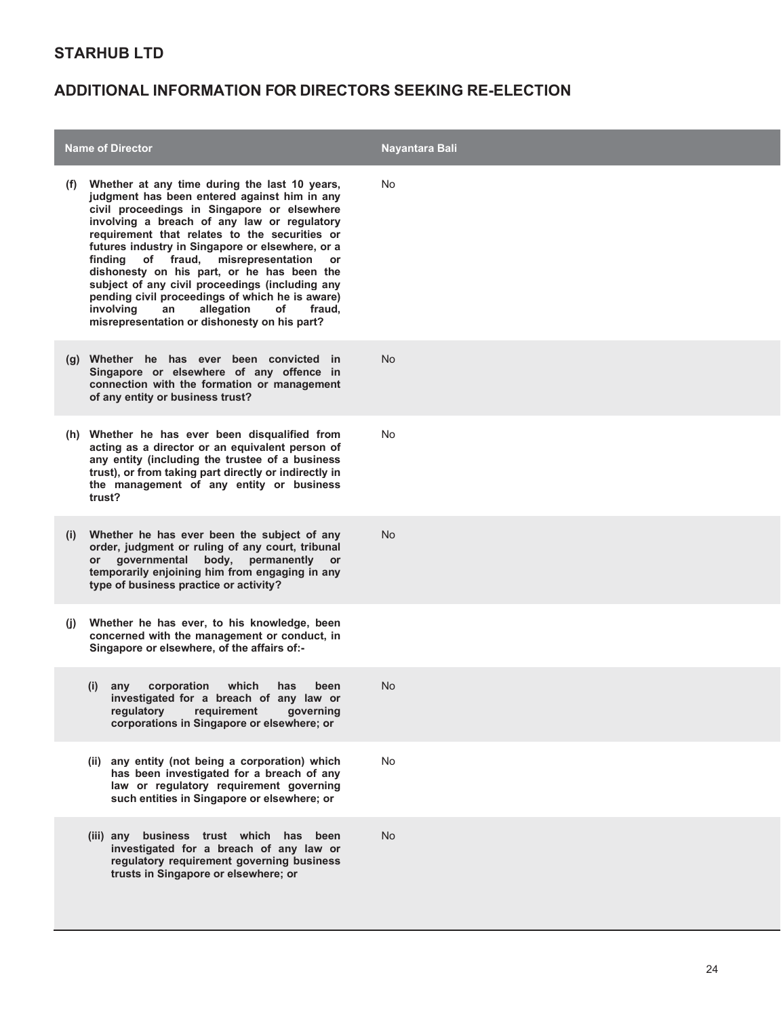|              | <b>Name of Director</b>                                                                                                                                                                                                                                                                                                                                                                                                                                                                                                                                                                                         | Nayantara Bali |
|--------------|-----------------------------------------------------------------------------------------------------------------------------------------------------------------------------------------------------------------------------------------------------------------------------------------------------------------------------------------------------------------------------------------------------------------------------------------------------------------------------------------------------------------------------------------------------------------------------------------------------------------|----------------|
| (t)          | Whether at any time during the last 10 years,<br>judgment has been entered against him in any<br>civil proceedings in Singapore or elsewhere<br>involving a breach of any law or regulatory<br>requirement that relates to the securities or<br>futures industry in Singapore or elsewhere, or a<br>misrepresentation<br>finding<br>of fraud,<br><b>or</b><br>dishonesty on his part, or he has been the<br>subject of any civil proceedings (including any<br>pending civil proceedings of which he is aware)<br>involving<br>an<br>allegation<br>of<br>fraud,<br>misrepresentation or dishonesty on his part? | No             |
|              | (g) Whether he has ever been convicted in<br>Singapore or elsewhere of any offence in<br>connection with the formation or management<br>of any entity or business trust?                                                                                                                                                                                                                                                                                                                                                                                                                                        | <b>No</b>      |
|              | (h) Whether he has ever been disqualified from<br>acting as a director or an equivalent person of<br>any entity (including the trustee of a business<br>trust), or from taking part directly or indirectly in<br>the management of any entity or business<br>trust?                                                                                                                                                                                                                                                                                                                                             | No             |
| (i)          | Whether he has ever been the subject of any<br>order, judgment or ruling of any court, tribunal<br>governmental body, permanently<br><b>or</b><br><b>or</b><br>temporarily enjoining him from engaging in any<br>type of business practice or activity?                                                                                                                                                                                                                                                                                                                                                         | No.            |
| $\mathbf{u}$ | Whether he has ever, to his knowledge, been<br>concerned with the management or conduct, in<br>Singapore or elsewhere, of the affairs of:-                                                                                                                                                                                                                                                                                                                                                                                                                                                                      |                |
|              | corporation which<br>has<br>been<br>(i)<br>any<br>investigated for a breach of any law or<br>regulatory requirement governing<br>corporations in Singapore or elsewhere; or                                                                                                                                                                                                                                                                                                                                                                                                                                     | No.            |
|              | (ii) any entity (not being a corporation) which<br>has been investigated for a breach of any<br>law or regulatory requirement governing<br>such entities in Singapore or elsewhere; or                                                                                                                                                                                                                                                                                                                                                                                                                          | No             |
|              | (iii) any business trust which has been<br>investigated for a breach of any law or<br>regulatory requirement governing business<br>trusts in Singapore or elsewhere; or                                                                                                                                                                                                                                                                                                                                                                                                                                         | No             |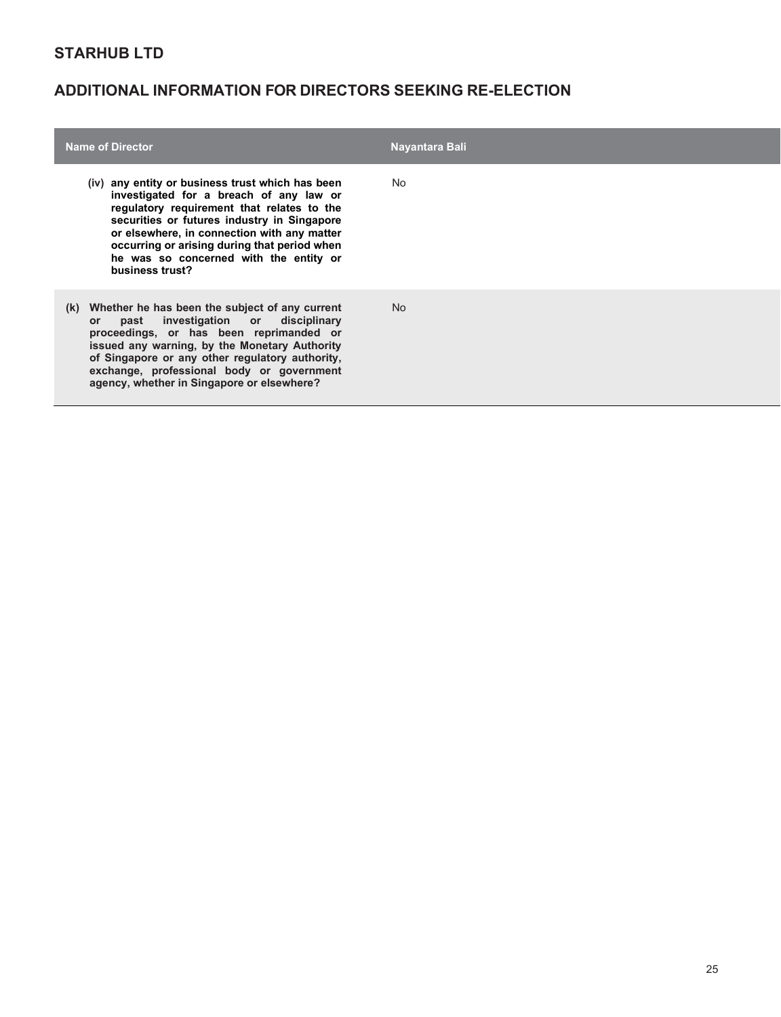| <b>Name of Director</b>                                                                                                                                                                                                                                                                                                                              | Nayantara Bali |
|------------------------------------------------------------------------------------------------------------------------------------------------------------------------------------------------------------------------------------------------------------------------------------------------------------------------------------------------------|----------------|
| (iv) any entity or business trust which has been<br>investigated for a breach of any law or<br>regulatory requirement that relates to the<br>securities or futures industry in Singapore<br>or elsewhere, in connection with any matter<br>occurring or arising during that period when<br>he was so concerned with the entity or<br>business trust? | No.            |
| Whether he has been the subject of any current<br>(k)<br>investigation or disciplinary<br>past<br>or.<br>proceedings, or has been reprimanded or<br>issued any warning, by the Monetary Authority<br>of Singapore or any other regulatory authority,<br>exchange, professional body or government<br>agency, whether in Singapore or elsewhere?      | N <sub>o</sub> |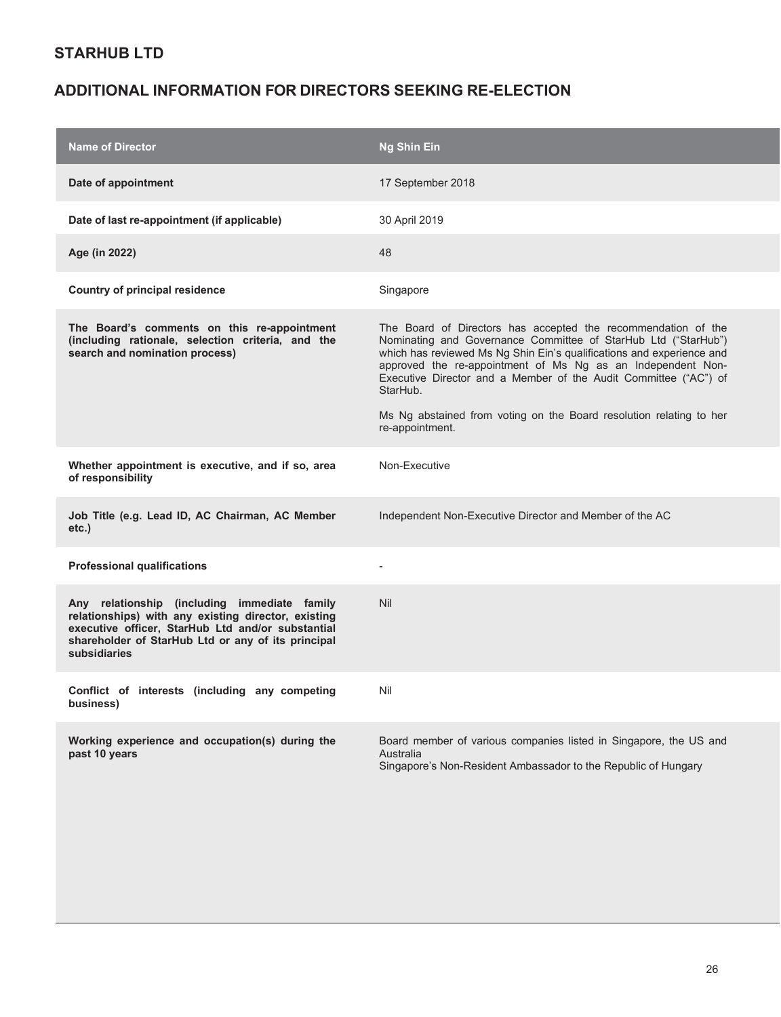| <b>Name of Director</b>                                                                                                                                                                                                        | <b>Ng Shin Ein</b>                                                                                                                                                                                                                                                                                                                                                                                                             |
|--------------------------------------------------------------------------------------------------------------------------------------------------------------------------------------------------------------------------------|--------------------------------------------------------------------------------------------------------------------------------------------------------------------------------------------------------------------------------------------------------------------------------------------------------------------------------------------------------------------------------------------------------------------------------|
| Date of appointment                                                                                                                                                                                                            | 17 September 2018                                                                                                                                                                                                                                                                                                                                                                                                              |
| Date of last re-appointment (if applicable)                                                                                                                                                                                    | 30 April 2019                                                                                                                                                                                                                                                                                                                                                                                                                  |
| Age (in 2022)                                                                                                                                                                                                                  | 48                                                                                                                                                                                                                                                                                                                                                                                                                             |
| <b>Country of principal residence</b>                                                                                                                                                                                          | Singapore                                                                                                                                                                                                                                                                                                                                                                                                                      |
| The Board's comments on this re-appointment<br>(including rationale, selection criteria, and the<br>search and nomination process)                                                                                             | The Board of Directors has accepted the recommendation of the<br>Nominating and Governance Committee of StarHub Ltd ("StarHub")<br>which has reviewed Ms Ng Shin Ein's qualifications and experience and<br>approved the re-appointment of Ms Ng as an Independent Non-<br>Executive Director and a Member of the Audit Committee ("AC") of<br>StarHub.<br>Ms Ng abstained from voting on the Board resolution relating to her |
|                                                                                                                                                                                                                                | re-appointment.                                                                                                                                                                                                                                                                                                                                                                                                                |
| Whether appointment is executive, and if so, area<br>of responsibility                                                                                                                                                         | Non-Executive                                                                                                                                                                                                                                                                                                                                                                                                                  |
| Job Title (e.g. Lead ID, AC Chairman, AC Member<br>etc.)                                                                                                                                                                       | Independent Non-Executive Director and Member of the AC                                                                                                                                                                                                                                                                                                                                                                        |
| <b>Professional qualifications</b>                                                                                                                                                                                             |                                                                                                                                                                                                                                                                                                                                                                                                                                |
| Any relationship (including immediate family<br>relationships) with any existing director, existing<br>executive officer, StarHub Ltd and/or substantial<br>shareholder of StarHub Ltd or any of its principal<br>subsidiaries | Nil                                                                                                                                                                                                                                                                                                                                                                                                                            |
| Conflict of interests (including any competing<br>business)                                                                                                                                                                    | Nil                                                                                                                                                                                                                                                                                                                                                                                                                            |
| Working experience and occupation(s) during the<br>past 10 years                                                                                                                                                               | Board member of various companies listed in Singapore, the US and<br>Australia<br>Singapore's Non-Resident Ambassador to the Republic of Hungary                                                                                                                                                                                                                                                                               |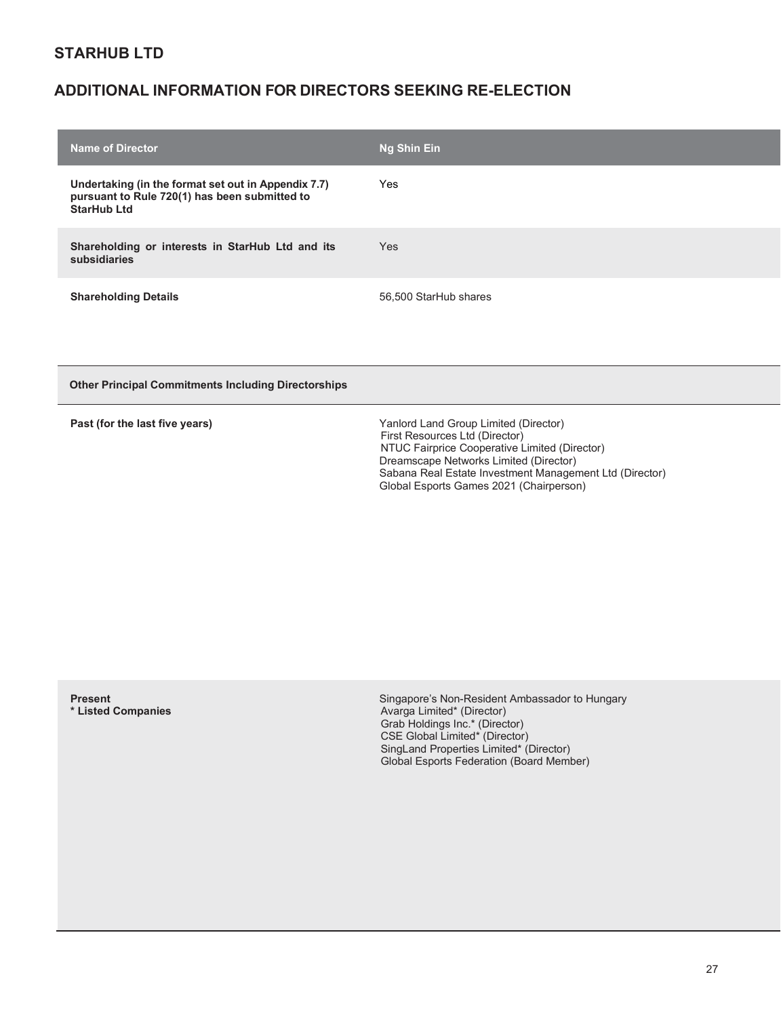### **ADDITIONAL INFORMATION FOR DIRECTORS SEEKING RE-ELECTION**

| <b>Name of Director</b>                                                                                                    | Ng Shin Ein           |
|----------------------------------------------------------------------------------------------------------------------------|-----------------------|
| Undertaking (in the format set out in Appendix 7.7)<br>pursuant to Rule 720(1) has been submitted to<br><b>StarHub Ltd</b> | Yes                   |
| Shareholding or interests in StarHub Ltd and its<br>subsidiaries                                                           | <b>Yes</b>            |
| <b>Shareholding Details</b>                                                                                                | 56,500 StarHub shares |

**Other Principal Commitments Including Directorships**

|  |  | Past (for the last five years) |  |
|--|--|--------------------------------|--|
|  |  |                                |  |

**Past (for the last five years)** Yanlord Land Group Limited (Director) First Resources Ltd (Director) NTUC Fairprice Cooperative Limited (Director) Dreamscape Networks Limited (Director) Sabana Real Estate Investment Management Ltd (Director) Global Esports Games 2021 (Chairperson)

**Present \* Listed Companies**  Singapore's Non-Resident Ambassador to Hungary Avarga Limited\* (Director) Grab Holdings Inc.\* (Director) CSE Global Limited\* (Director) SingLand Properties Limited\* (Director) Global Esports Federation (Board Member)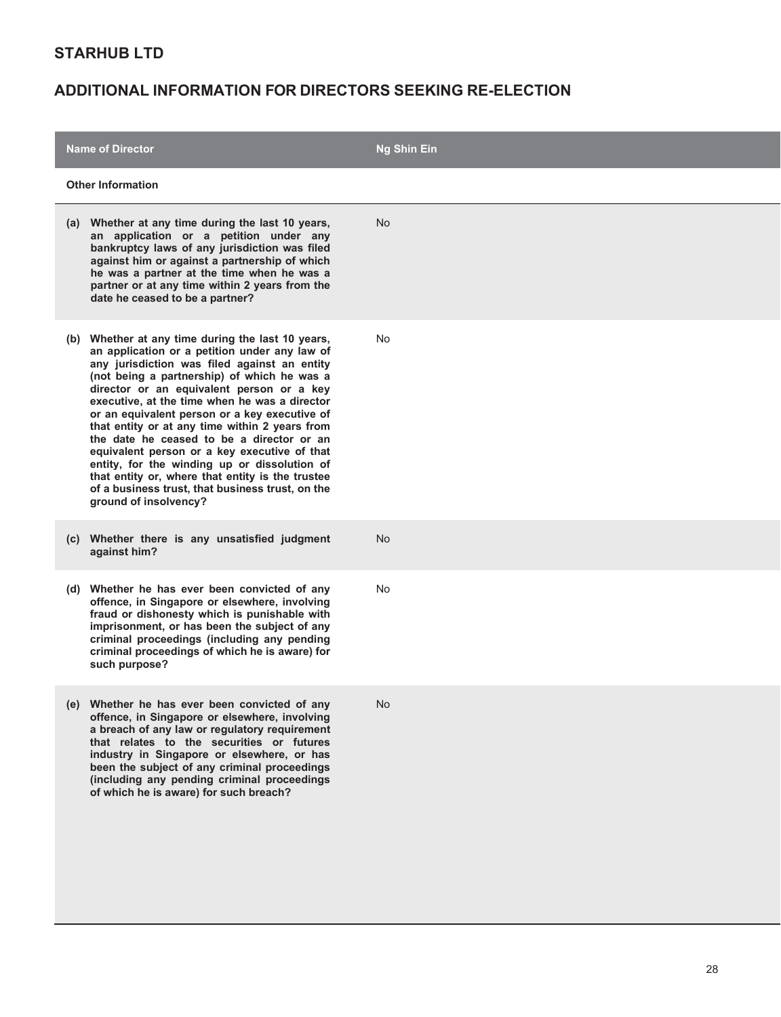| <b>Name of Director</b>                                                                                                                                                                                                                                                                                                                                                                                                                                                                                                                                                                                                                                                          | <b>Ng Shin Ein</b> |  |
|----------------------------------------------------------------------------------------------------------------------------------------------------------------------------------------------------------------------------------------------------------------------------------------------------------------------------------------------------------------------------------------------------------------------------------------------------------------------------------------------------------------------------------------------------------------------------------------------------------------------------------------------------------------------------------|--------------------|--|
| <b>Other Information</b>                                                                                                                                                                                                                                                                                                                                                                                                                                                                                                                                                                                                                                                         |                    |  |
| (a) Whether at any time during the last 10 years,<br>an application or a petition under any<br>bankruptcy laws of any jurisdiction was filed<br>against him or against a partnership of which<br>he was a partner at the time when he was a<br>partner or at any time within 2 years from the<br>date he ceased to be a partner?                                                                                                                                                                                                                                                                                                                                                 | <b>No</b>          |  |
| (b) Whether at any time during the last 10 years,<br>an application or a petition under any law of<br>any jurisdiction was filed against an entity<br>(not being a partnership) of which he was a<br>director or an equivalent person or a key<br>executive, at the time when he was a director<br>or an equivalent person or a key executive of<br>that entity or at any time within 2 years from<br>the date he ceased to be a director or an<br>equivalent person or a key executive of that<br>entity, for the winding up or dissolution of<br>that entity or, where that entity is the trustee<br>of a business trust, that business trust, on the<br>ground of insolvency? | No                 |  |
| (c) Whether there is any unsatisfied judgment<br>against him?                                                                                                                                                                                                                                                                                                                                                                                                                                                                                                                                                                                                                    | No                 |  |
| (d) Whether he has ever been convicted of any<br>offence, in Singapore or elsewhere, involving<br>fraud or dishonesty which is punishable with<br>imprisonment, or has been the subject of any<br>criminal proceedings (including any pending<br>criminal proceedings of which he is aware) for<br>such purpose?                                                                                                                                                                                                                                                                                                                                                                 | No                 |  |
| Whether he has ever been convicted of any<br>(e)<br>offence, in Singapore or elsewhere, involving<br>a breach of any law or regulatory requirement<br>that relates to the securities or futures<br>industry in Singapore or elsewhere, or has<br>been the subject of any criminal proceedings<br>(including any pending criminal proceedings<br>of which he is aware) for such breach?                                                                                                                                                                                                                                                                                           | No                 |  |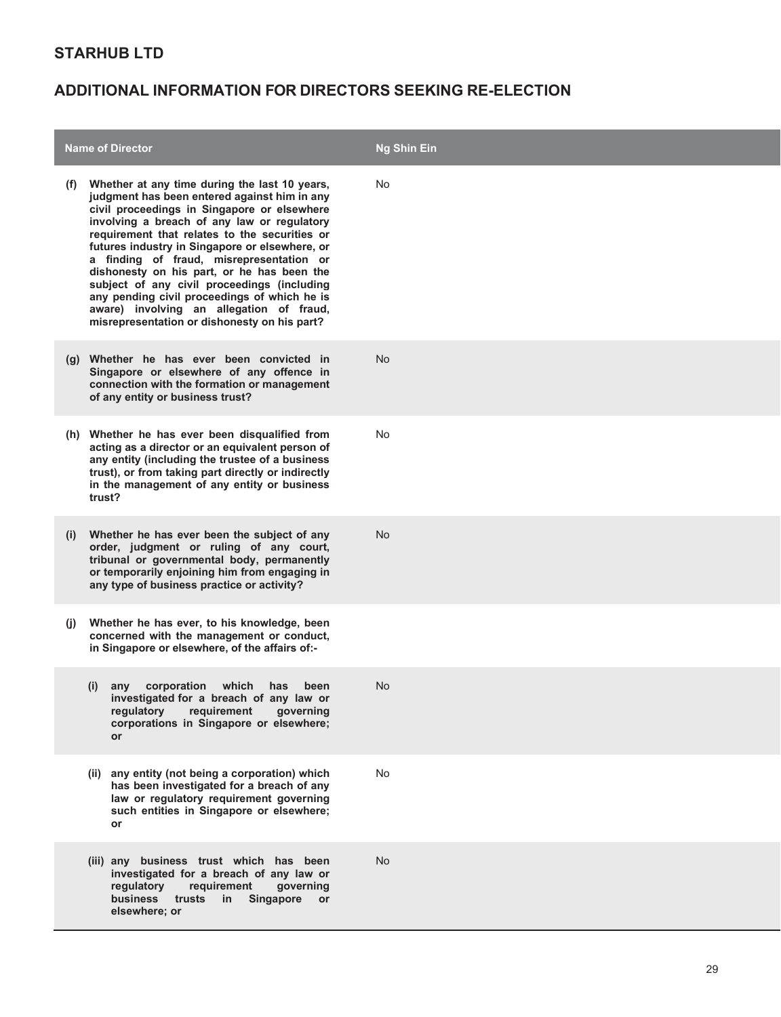|                   | <b>Name of Director</b>                                                                                                                                                                                                                                                                                                                                                                                                                                                                                                                                                             | <b>Ng Shin Ein</b> |
|-------------------|-------------------------------------------------------------------------------------------------------------------------------------------------------------------------------------------------------------------------------------------------------------------------------------------------------------------------------------------------------------------------------------------------------------------------------------------------------------------------------------------------------------------------------------------------------------------------------------|--------------------|
| (t)               | Whether at any time during the last 10 years,<br>judgment has been entered against him in any<br>civil proceedings in Singapore or elsewhere<br>involving a breach of any law or regulatory<br>requirement that relates to the securities or<br>futures industry in Singapore or elsewhere, or<br>a finding of fraud, misrepresentation or<br>dishonesty on his part, or he has been the<br>subject of any civil proceedings (including<br>any pending civil proceedings of which he is<br>aware) involving an allegation of fraud,<br>misrepresentation or dishonesty on his part? | No                 |
|                   | (g) Whether he has ever been convicted in<br>Singapore or elsewhere of any offence in<br>connection with the formation or management<br>of any entity or business trust?                                                                                                                                                                                                                                                                                                                                                                                                            | <b>No</b>          |
|                   | (h) Whether he has ever been disqualified from<br>acting as a director or an equivalent person of<br>any entity (including the trustee of a business<br>trust), or from taking part directly or indirectly<br>in the management of any entity or business<br>trust?                                                                                                                                                                                                                                                                                                                 | No                 |
| $\left( 1\right)$ | Whether he has ever been the subject of any<br>order, judgment or ruling of any court,<br>tribunal or governmental body, permanently<br>or temporarily enjoining him from engaging in<br>any type of business practice or activity?                                                                                                                                                                                                                                                                                                                                                 | <b>No</b>          |
| (I)               | Whether he has ever, to his knowledge, been<br>concerned with the management or conduct,<br>in Singapore or elsewhere, of the affairs of:-                                                                                                                                                                                                                                                                                                                                                                                                                                          |                    |
|                   | corporation which<br>(i)<br>has<br>been<br>any<br>investigated for a breach of any law or<br>regulatory<br>requirement<br>governing<br>corporations in Singapore or elsewhere;<br><b>or</b>                                                                                                                                                                                                                                                                                                                                                                                         | No.                |
|                   | (ii) any entity (not being a corporation) which<br>has been investigated for a breach of any<br>law or regulatory requirement governing<br>such entities in Singapore or elsewhere;<br>or                                                                                                                                                                                                                                                                                                                                                                                           | No                 |
|                   | (iii) any business trust which has been<br>investigated for a breach of any law or<br>regulatory<br>requirement<br>governing<br>business<br>trusts<br>Singapore<br>in<br><b>or</b><br>elsewhere; or                                                                                                                                                                                                                                                                                                                                                                                 | <b>No</b>          |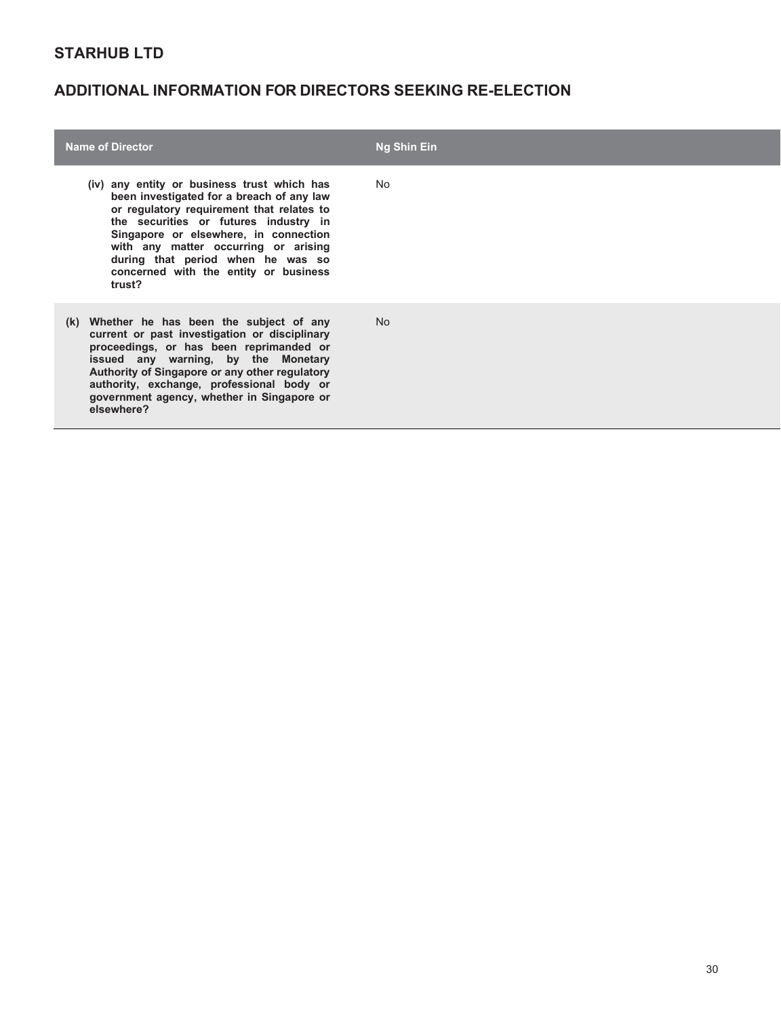| <b>Name of Director</b>                                                                                                                                                                                                                                                                                                                                 | <b>Ng Shin Ein</b> |
|---------------------------------------------------------------------------------------------------------------------------------------------------------------------------------------------------------------------------------------------------------------------------------------------------------------------------------------------------------|--------------------|
| (iv) any entity or business trust which has<br>been investigated for a breach of any law<br>or regulatory requirement that relates to<br>the securities or futures industry in<br>Singapore or elsewhere, in connection<br>with any matter occurring or arising<br>during that period when he was so<br>concerned with the entity or business<br>trust? | No.                |
| Whether he has been the subject of any<br>(K)<br>current or past investigation or disciplinary<br>proceedings, or has been reprimanded or<br>issued any warning, by the Monetary<br>Authority of Singapore or any other regulatory<br>authority, exchange, professional body or<br>government agency, whether in Singapore or<br>elsewhere?             | <b>No</b>          |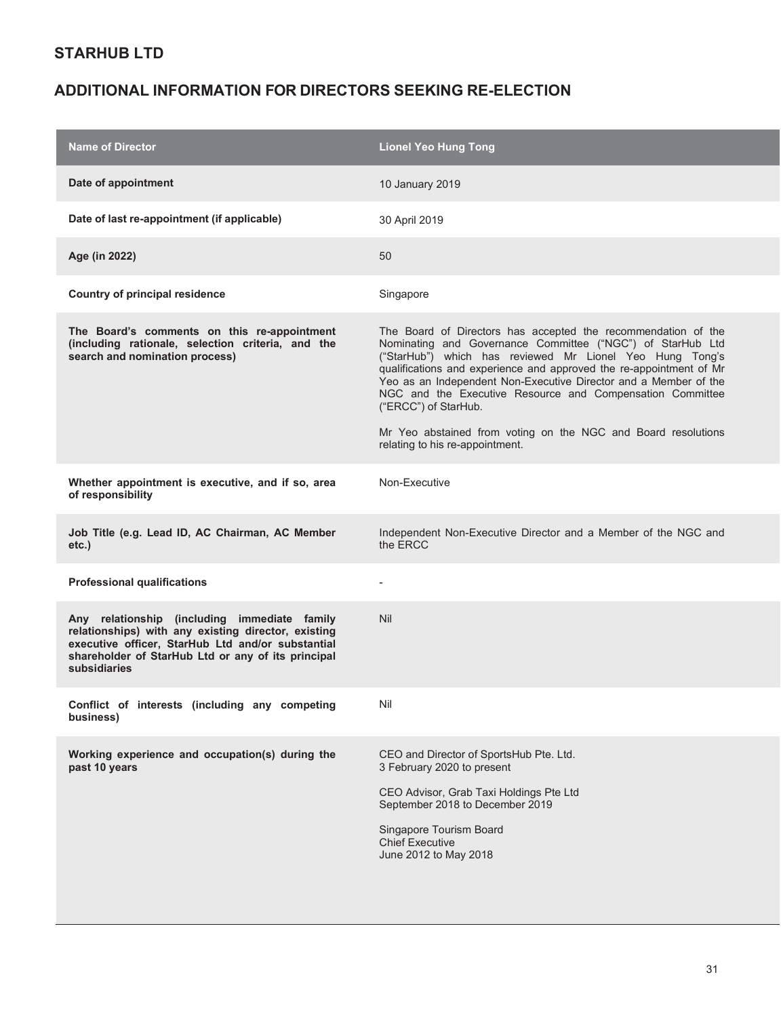| <b>Name of Director</b>                                                                                                                                                                                                        | <b>Lionel Yeo Hung Tong</b>                                                                                                                                                                                                                                                                                                                                                                                                                                                                                                 |
|--------------------------------------------------------------------------------------------------------------------------------------------------------------------------------------------------------------------------------|-----------------------------------------------------------------------------------------------------------------------------------------------------------------------------------------------------------------------------------------------------------------------------------------------------------------------------------------------------------------------------------------------------------------------------------------------------------------------------------------------------------------------------|
| Date of appointment                                                                                                                                                                                                            | <b>10 January 2019</b>                                                                                                                                                                                                                                                                                                                                                                                                                                                                                                      |
| Date of last re-appointment (if applicable)                                                                                                                                                                                    | 30 April 2019                                                                                                                                                                                                                                                                                                                                                                                                                                                                                                               |
| Age (in 2022)                                                                                                                                                                                                                  | 50                                                                                                                                                                                                                                                                                                                                                                                                                                                                                                                          |
| <b>Country of principal residence</b>                                                                                                                                                                                          | Singapore                                                                                                                                                                                                                                                                                                                                                                                                                                                                                                                   |
| The Board's comments on this re-appointment<br>(including rationale, selection criteria, and the<br>search and nomination process)                                                                                             | The Board of Directors has accepted the recommendation of the<br>Nominating and Governance Committee ("NGC") of StarHub Ltd<br>("StarHub") which has reviewed Mr Lionel Yeo Hung Tong's<br>qualifications and experience and approved the re-appointment of Mr<br>Yeo as an Independent Non-Executive Director and a Member of the<br>NGC and the Executive Resource and Compensation Committee<br>("ERCC") of StarHub.<br>Mr Yeo abstained from voting on the NGC and Board resolutions<br>relating to his re-appointment. |
| Whether appointment is executive, and if so, area<br>of responsibility                                                                                                                                                         | Non-Executive                                                                                                                                                                                                                                                                                                                                                                                                                                                                                                               |
| Job Title (e.g. Lead ID, AC Chairman, AC Member<br>$etc.$ )                                                                                                                                                                    | Independent Non-Executive Director and a Member of the NGC and<br>the ERCC                                                                                                                                                                                                                                                                                                                                                                                                                                                  |
| <b>Professional qualifications</b>                                                                                                                                                                                             |                                                                                                                                                                                                                                                                                                                                                                                                                                                                                                                             |
| Any relationship (including immediate family<br>relationships) with any existing director, existing<br>executive officer, StarHub Ltd and/or substantial<br>shareholder of StarHub Ltd or any of its principal<br>subsidiaries | <b>Nil</b>                                                                                                                                                                                                                                                                                                                                                                                                                                                                                                                  |
| Conflict of interests (including any competing<br>business)                                                                                                                                                                    | Nil                                                                                                                                                                                                                                                                                                                                                                                                                                                                                                                         |
| Working experience and occupation(s) during the<br>past 10 years                                                                                                                                                               | CEO and Director of SportsHub Pte. Ltd.<br>3 February 2020 to present<br>CEO Advisor, Grab Taxi Holdings Pte Ltd<br>September 2018 to December 2019<br>Singapore Tourism Board<br><b>Chief Executive</b><br>June 2012 to May 2018                                                                                                                                                                                                                                                                                           |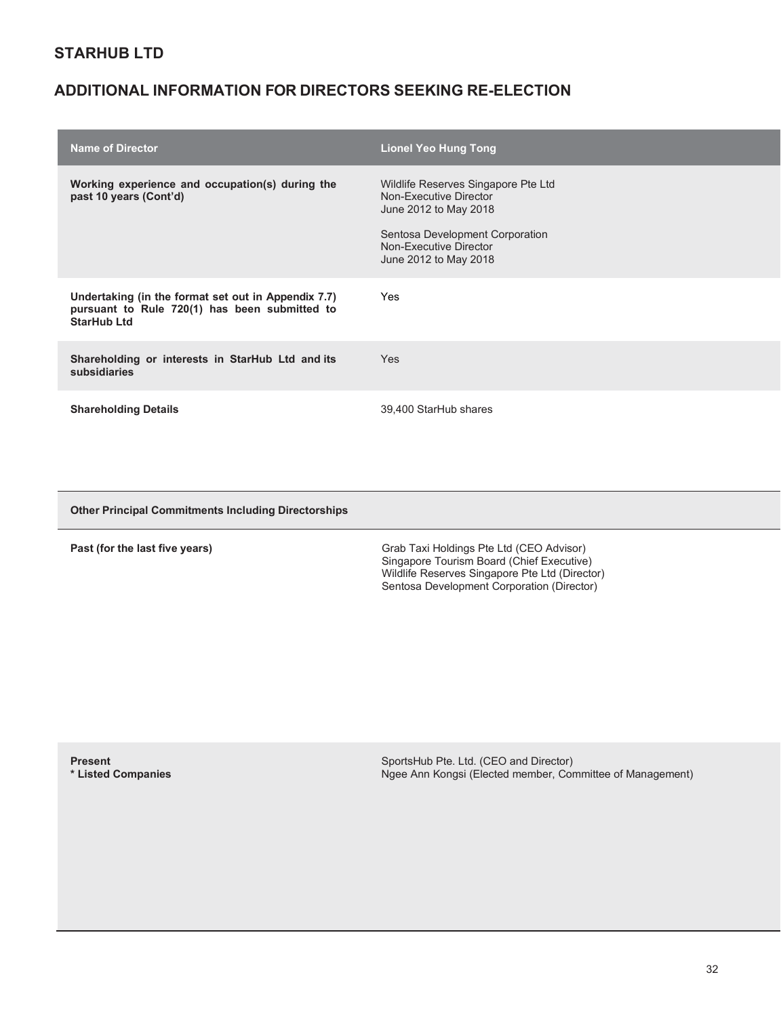### **ADDITIONAL INFORMATION FOR DIRECTORS SEEKING RE-ELECTION**

| <b>Name of Director</b>                                                                                                    | <b>Lionel Yeo Hung Tong</b>                                                                                                                                                  |
|----------------------------------------------------------------------------------------------------------------------------|------------------------------------------------------------------------------------------------------------------------------------------------------------------------------|
| Working experience and occupation(s) during the<br>past 10 years (Cont'd)                                                  | Wildlife Reserves Singapore Pte Ltd<br>Non-Executive Director<br>June 2012 to May 2018<br>Sentosa Development Corporation<br>Non-Executive Director<br>June 2012 to May 2018 |
| Undertaking (in the format set out in Appendix 7.7)<br>pursuant to Rule 720(1) has been submitted to<br><b>StarHub Ltd</b> | Yes                                                                                                                                                                          |
| Shareholding or interests in StarHub Ltd and its<br>subsidiaries                                                           | <b>Yes</b>                                                                                                                                                                   |
| <b>Shareholding Details</b>                                                                                                | 39,400 StarHub shares                                                                                                                                                        |

**Other Principal Commitments Including Directorships**

**Past (for the last five years) Grab Taxi Holdings Pte Ltd (CEO Advisor)** Grab Taxi Holdings Pte Ltd (CEO Advisor) Singapore Tourism Board (Chief Executive) Wildlife Reserves Singapore Pte Ltd (Director) Sentosa Development Corporation (Director)

**Present \* Listed Companies**  SportsHub Pte. Ltd. (CEO and Director) Ngee Ann Kongsi (Elected member, Committee of Management)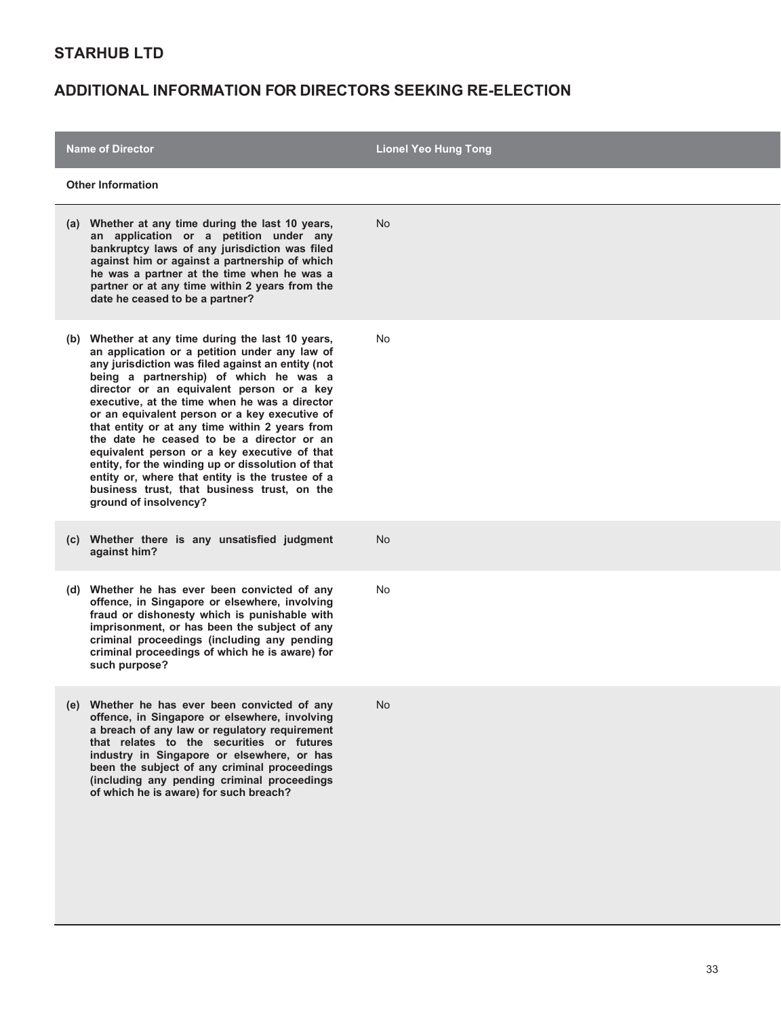| <b>Name of Director</b>                                                                                                                                                                                                                                                                                                                                                                                                                                                                                                                                                                                                                                                             | <b>Lionel Yeo Hung Tong</b> |  |
|-------------------------------------------------------------------------------------------------------------------------------------------------------------------------------------------------------------------------------------------------------------------------------------------------------------------------------------------------------------------------------------------------------------------------------------------------------------------------------------------------------------------------------------------------------------------------------------------------------------------------------------------------------------------------------------|-----------------------------|--|
| <b>Other Information</b>                                                                                                                                                                                                                                                                                                                                                                                                                                                                                                                                                                                                                                                            |                             |  |
| (a) Whether at any time during the last 10 years,<br>an application or a petition under any<br>bankruptcy laws of any jurisdiction was filed<br>against him or against a partnership of which<br>he was a partner at the time when he was a<br>partner or at any time within 2 years from the<br>date he ceased to be a partner?                                                                                                                                                                                                                                                                                                                                                    | No.                         |  |
| Whether at any time during the last 10 years,<br>(b)<br>an application or a petition under any law of<br>any jurisdiction was filed against an entity (not<br>being a partnership) of which he was a<br>director or an equivalent person or a key<br>executive, at the time when he was a director<br>or an equivalent person or a key executive of<br>that entity or at any time within 2 years from<br>the date he ceased to be a director or an<br>equivalent person or a key executive of that<br>entity, for the winding up or dissolution of that<br>entity or, where that entity is the trustee of a<br>business trust, that business trust, on the<br>ground of insolvency? | <b>No</b>                   |  |
| (c) Whether there is any unsatisfied judgment<br>against him?                                                                                                                                                                                                                                                                                                                                                                                                                                                                                                                                                                                                                       | <b>No</b>                   |  |
| (d) Whether he has ever been convicted of any<br>offence, in Singapore or elsewhere, involving<br>fraud or dishonesty which is punishable with<br>imprisonment, or has been the subject of any<br>criminal proceedings (including any pending<br>criminal proceedings of which he is aware) for<br>such purpose?                                                                                                                                                                                                                                                                                                                                                                    | No                          |  |
| (e) Whether he has ever been convicted of any<br>offence, in Singapore or elsewhere, involving<br>a breach of any law or regulatory requirement<br>that relates to the securities or futures<br>industry in Singapore or elsewhere, or has<br>been the subject of any criminal proceedings<br>(including any pending criminal proceedings<br>of which he is aware) for such breach?                                                                                                                                                                                                                                                                                                 | <b>No</b>                   |  |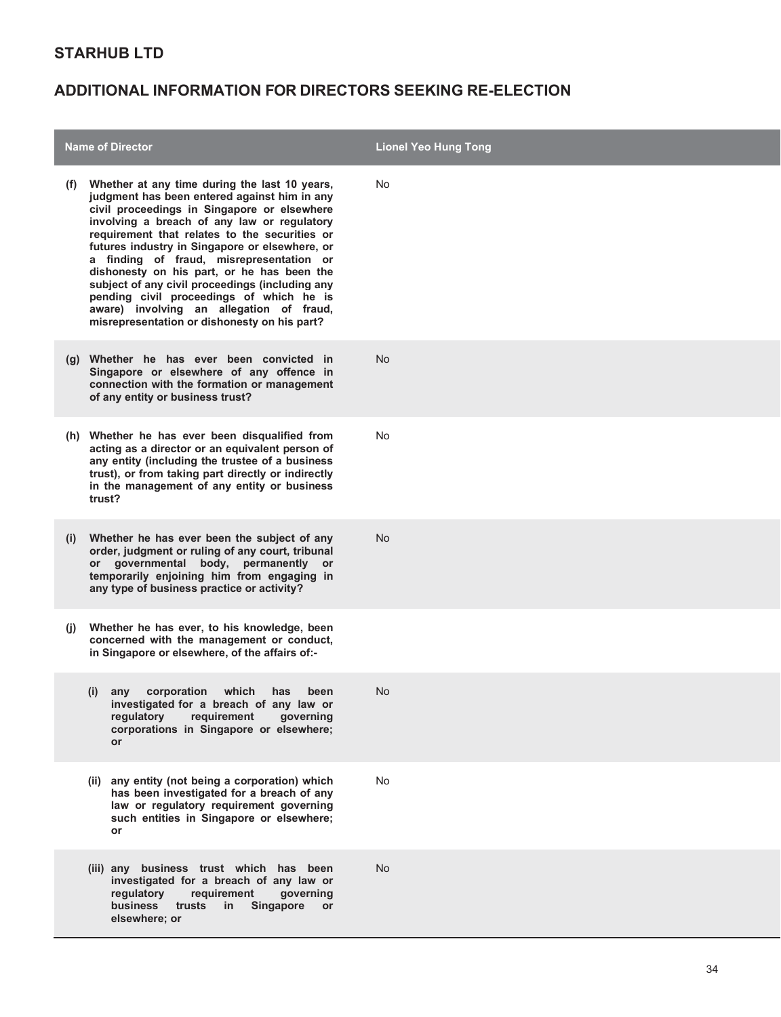|              | <b>Name of Director</b>                                                                                                                                                                                                                                                                                                                                                                                                                                                                                                                                                             | <b>Lionel Yeo Hung Tong</b> |
|--------------|-------------------------------------------------------------------------------------------------------------------------------------------------------------------------------------------------------------------------------------------------------------------------------------------------------------------------------------------------------------------------------------------------------------------------------------------------------------------------------------------------------------------------------------------------------------------------------------|-----------------------------|
| (t)          | Whether at any time during the last 10 years,<br>judgment has been entered against him in any<br>civil proceedings in Singapore or elsewhere<br>involving a breach of any law or regulatory<br>requirement that relates to the securities or<br>futures industry in Singapore or elsewhere, or<br>a finding of fraud, misrepresentation or<br>dishonesty on his part, or he has been the<br>subject of any civil proceedings (including any<br>pending civil proceedings of which he is<br>aware) involving an allegation of fraud,<br>misrepresentation or dishonesty on his part? | No                          |
|              | (g) Whether he has ever been convicted in<br>Singapore or elsewhere of any offence in<br>connection with the formation or management<br>of any entity or business trust?                                                                                                                                                                                                                                                                                                                                                                                                            | <b>No</b>                   |
|              | (h) Whether he has ever been disqualified from<br>acting as a director or an equivalent person of<br>any entity (including the trustee of a business<br>trust), or from taking part directly or indirectly<br>in the management of any entity or business<br>trust?                                                                                                                                                                                                                                                                                                                 | No                          |
| $\mathbf{I}$ | Whether he has ever been the subject of any<br>order, judgment or ruling of any court, tribunal<br>or governmental body, permanently or<br>temporarily enjoining him from engaging in<br>any type of business practice or activity?                                                                                                                                                                                                                                                                                                                                                 | No.                         |
| (I)          | Whether he has ever, to his knowledge, been<br>concerned with the management or conduct,<br>in Singapore or elsewhere, of the affairs of:-                                                                                                                                                                                                                                                                                                                                                                                                                                          |                             |
|              | corporation<br>which<br>(i)<br>has<br>been<br>any<br>investigated for a breach of any law or<br>regulatory<br>requirement<br>governing<br>corporations in Singapore or elsewhere;<br><b>or</b>                                                                                                                                                                                                                                                                                                                                                                                      | <b>No</b>                   |
|              | (ii) any entity (not being a corporation) which<br>has been investigated for a breach of any<br>law or regulatory requirement governing<br>such entities in Singapore or elsewhere;<br>or                                                                                                                                                                                                                                                                                                                                                                                           | No                          |
|              | (iii) any business trust which has been<br>investigated for a breach of any law or<br>regulatory<br>requirement<br>governing<br><b>business</b><br>trusts<br>in<br><b>Singapore</b><br><b>or</b><br>elsewhere; or                                                                                                                                                                                                                                                                                                                                                                   | <b>No</b>                   |